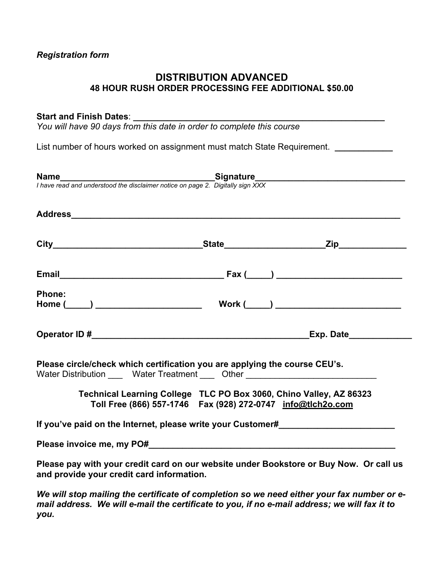#### *Registration form*

### **DISTRIBUTION ADVANCED 48 HOUR RUSH ORDER PROCESSING FEE ADDITIONAL \$50.00**

#### Start and Finish Dates:

*You will have 90 days from this date in order to complete this course* 

List number of hours worked on assignment must match State Requirement. *\_\_\_\_\_\_\_\_\_\_* 

|                                           | <b>Name</b><br>I have read and understood the disclaimer notice on page 2. Digitally sign XXX                                                                  |  |
|-------------------------------------------|----------------------------------------------------------------------------------------------------------------------------------------------------------------|--|
|                                           |                                                                                                                                                                |  |
|                                           |                                                                                                                                                                |  |
|                                           |                                                                                                                                                                |  |
| Phone:                                    |                                                                                                                                                                |  |
|                                           |                                                                                                                                                                |  |
|                                           | Please circle/check which certification you are applying the course CEU's.<br>Water Distribution ______ Water Treatment _____ Other __________________________ |  |
|                                           | Technical Learning College TLC PO Box 3060, Chino Valley, AZ 86323<br>Toll Free (866) 557-1746  Fax (928) 272-0747  info@tlch2o.com                            |  |
|                                           | If you've paid on the Internet, please write your Customer#_____________________                                                                               |  |
|                                           |                                                                                                                                                                |  |
| and provide your credit card information. | Please pay with your credit card on our website under Bookstore or Buy Now. Or call us                                                                         |  |
|                                           | We will stop mailing the certificate of completion so we need either your fax number or e-                                                                     |  |

*We will stop mailing the certificate of completion so we need either your fax number or email address. We will e-mail the certificate to you, if no e-mail address; we will fax it to you.*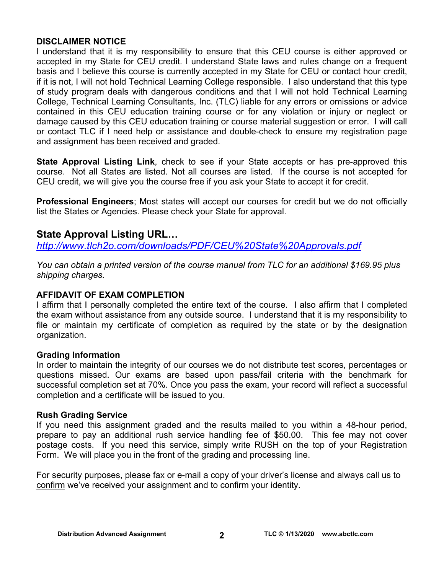#### **DISCLAIMER NOTICE**

I understand that it is my responsibility to ensure that this CEU course is either approved or accepted in my State for CEU credit. I understand State laws and rules change on a frequent basis and I believe this course is currently accepted in my State for CEU or contact hour credit, if it is not, I will not hold Technical Learning College responsible. I also understand that this type of study program deals with dangerous conditions and that I will not hold Technical Learning College, Technical Learning Consultants, Inc. (TLC) liable for any errors or omissions or advice contained in this CEU education training course or for any violation or injury or neglect or damage caused by this CEU education training or course material suggestion or error. I will call or contact TLC if I need help or assistance and double-check to ensure my registration page and assignment has been received and graded.

**State Approval Listing Link**, check to see if your State accepts or has pre-approved this course. Not all States are listed. Not all courses are listed. If the course is not accepted for CEU credit, we will give you the course free if you ask your State to accept it for credit.

**Professional Engineers**; Most states will accept our courses for credit but we do not officially list the States or Agencies. Please check your State for approval.

### **State Approval Listing URL…**

*<http://www.tlch2o.com/downloads/PDF/CEU%20State%20Approvals.pdf>*

*You can obtain a printed version of the course manual from TLC for an additional \$169.95 plus shipping charges.* 

#### **AFFIDAVIT OF EXAM COMPLETION**

I affirm that I personally completed the entire text of the course. I also affirm that I completed the exam without assistance from any outside source. I understand that it is my responsibility to file or maintain my certificate of completion as required by the state or by the designation organization.

#### **Grading Information**

In order to maintain the integrity of our courses we do not distribute test scores, percentages or questions missed. Our exams are based upon pass/fail criteria with the benchmark for successful completion set at 70%. Once you pass the exam, your record will reflect a successful completion and a certificate will be issued to you.

#### **Rush Grading Service**

If you need this assignment graded and the results mailed to you within a 48-hour period, prepare to pay an additional rush service handling fee of \$50.00. This fee may not cover postage costs. If you need this service, simply write RUSH on the top of your Registration Form. We will place you in the front of the grading and processing line.

For security purposes, please fax or e-mail a copy of your driver's license and always call us to confirm we've received your assignment and to confirm your identity.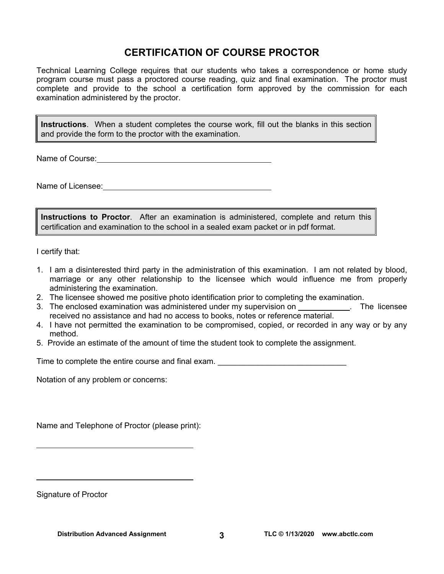### **CERTIFICATION OF COURSE PROCTOR**

Technical Learning College requires that our students who takes a correspondence or home study program course must pass a proctored course reading, quiz and final examination. The proctor must complete and provide to the school a certification form approved by the commission for each examination administered by the proctor.

**Instructions**. When a student completes the course work, fill out the blanks in this section and provide the form to the proctor with the examination.

Name of Course: **Name of Course:** 

Name of Licensee: **Name of Licensee:** 

**Instructions to Proctor**. After an examination is administered, complete and return this certification and examination to the school in a sealed exam packet or in pdf format.

I certify that:

- 1. I am a disinterested third party in the administration of this examination. I am not related by blood, marriage or any other relationship to the licensee which would influence me from properly administering the examination.
- 2. The licensee showed me positive photo identification prior to completing the examination.
- 3. The enclosed examination was administered under my supervision on \_\_\_\_\_\_\_\_\_\_\_. The licensee received no assistance and had no access to books, notes or reference material.
- 4. I have not permitted the examination to be compromised, copied, or recorded in any way or by any method.
- 5. Provide an estimate of the amount of time the student took to complete the assignment.

Time to complete the entire course and final exam.

Notation of any problem or concerns:

Name and Telephone of Proctor (please print):

Signature of Proctor

 $\overline{a}$ 

 $\overline{a}$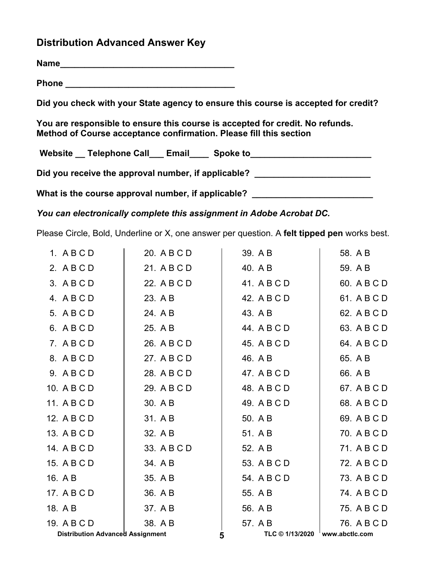### **Distribution Advanced Answer Key**

**Name\_\_\_\_\_\_\_\_\_\_\_\_\_\_\_\_\_\_\_\_\_\_\_\_\_\_\_\_\_\_\_\_\_\_\_\_**

**Phone \_\_\_\_\_\_\_\_\_\_\_\_\_\_\_\_\_\_\_\_\_\_\_\_\_\_\_\_\_\_\_\_\_\_\_** 

**Did you check with your State agency to ensure this course is accepted for credit?** 

**You are responsible to ensure this course is accepted for credit. No refunds. Method of Course acceptance confirmation. Please fill this section** 

Website \_\_ Telephone Call \_\_ Email \_\_\_ Spoke to \_\_\_\_\_\_\_\_\_\_\_\_\_\_\_\_\_\_\_\_\_\_\_\_\_\_\_\_\_\_\_\_

Did you receive the approval number, if applicable?

What is the course approval number, if applicable? \_\_\_\_\_\_\_\_\_\_\_\_\_\_\_\_\_\_\_\_\_\_\_\_\_\_\_\_\_

*You can electronically complete this assignment in Adobe Acrobat DC.* 

Please Circle, Bold, Underline or X, one answer per question. A **felt tipped pen** works best.

| 1. ABCD                                 | 20. A B C D | 39. A B     | 58. A B                        |
|-----------------------------------------|-------------|-------------|--------------------------------|
| 2. ABCD                                 | 21. A B C D | 40. A B     | 59. A B                        |
| 3. ABCD                                 | 22. A B C D | 41. A B C D | 60. A B C D                    |
| 4. ABCD                                 | 23. A B     | 42. A B C D | 61. A B C D                    |
| 5. A B C D                              | 24. A B     | 43. A B     | 62. A B C D                    |
| 6. ABCD                                 | 25. A B     | 44. A B C D | 63. A B C D                    |
| 7. ABCD                                 | 26. A B C D | 45. A B C D | 64. A B C D                    |
| 8. ABCD                                 | 27. A B C D | 46. A B     | 65. A B                        |
| 9. ABCD                                 | 28. A B C D | 47. A B C D | 66. A B                        |
| 10. A B C D                             | 29. A B C D | 48. A B C D | 67. A B C D                    |
| 11. A B C D                             | 30. A B     | 49. A B C D | 68. A B C D                    |
| 12. A B C D                             | 31. A B     | 50. A B     | 69. A B C D                    |
| 13. A B C D                             | 32. A B     | 51. A B     | 70. A B C D                    |
| 14. A B C D                             | 33. A B C D | 52. A B     | 71. A B C D                    |
| 15. A B C D                             | 34. A B     | 53. A B C D | 72. A B C D                    |
| 16. A B                                 | 35. A B     | 54. A B C D | 73. A B C D                    |
| 17. A B C D                             | 36. A B     | 55. A B     | 74. A B C D                    |
| 18. A B                                 | 37. A B     | 56. A B     | 75. A B C D                    |
| 19. A B C D                             | 38. A B     | 57. A B     | 76. A B C D                    |
| <b>Distribution Advanced Assignment</b> |             | 5           | TLC © 1/13/2020 www.abctlc.com |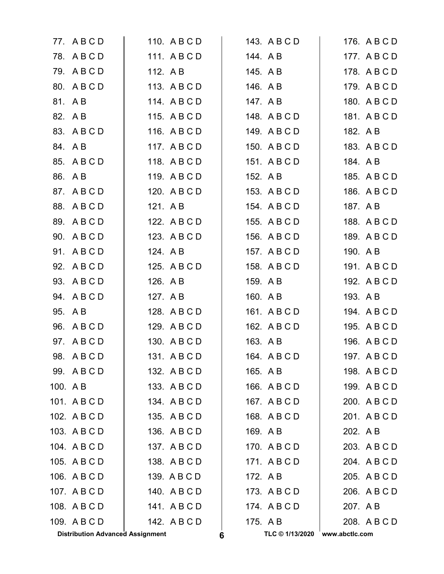|          | <b>Distribution Advanced Assignment</b> |              | 6 | TLC © 1/13/2020 | www.abctlc.com |
|----------|-----------------------------------------|--------------|---|-----------------|----------------|
|          | 109. A B C D                            | 142. A B C D |   | 175. A B        | 208. A B C D   |
|          | 108. A B C D                            | 141. ABCD    |   | 174. ABCD       | 207. A B       |
|          | 107. A B C D                            | 140. A B C D |   | 173. ABCD       | 206. A B C D   |
|          | 106. A B C D                            | 139. A B C D |   | 172. A B        | 205. A B C D   |
|          | 105. A B C D                            | 138. A B C D |   | 171. ABCD       | 204. A B C D   |
|          | 104. A B C D                            | 137. A B C D |   | 170. A B C D    | 203. A B C D   |
|          | 103. A B C D                            | 136. A B C D |   | 169. A B        | 202. A B       |
|          | 102. A B C D                            | 135. A B C D |   | 168. A B C D    | 201. ABCD      |
|          | 101. ABCD                               | 134. A B C D |   | 167. ABCD       | 200. A B C D   |
| 100. A B |                                         | 133. A B C D |   | 166. A B C D    | 199. A B C D   |
|          | 99. ABCD                                | 132. A B C D |   | 165. A B        | 198. A B C D   |
|          | 98. ABCD                                | 131. ABCD    |   | 164. A B C D    | 197. A B C D   |
|          | 97. A B C D                             | 130. A B C D |   | 163. A B        | 196. A B C D   |
|          | 96. A B C D                             | 129. A B C D |   | 162. A B C D    | 195. A B C D   |
|          | 95. A B                                 | 128. A B C D |   | 161. A B C D    | 194. A B C D   |
|          | 94. ABCD                                | 127. A B     |   | 160. A B        | 193. A B       |
|          | 93. A B C D                             | 126. A B     |   | 159. A B        | 192. A B C D   |
|          | 92. A B C D                             | 125. A B C D |   | 158. A B C D    | 191. A B C D   |
|          | 91. ABCD                                | 124. A B     |   | 157. A B C D    | 190. A B       |
|          | 90. ABCD                                | 123. A B C D |   | 156. A B C D    | 189. A B C D   |
|          | 89. ABCD                                | 122. A B C D |   | 155. A B C D    | 188. A B C D   |
|          | 88. A B C D                             | 121. A B     |   | 154. ABCD       | 187. A B       |
|          | 87. A B C D                             | 120. A B C D |   | 153. A B C D    | 186. A B C D   |
|          | 86. A B                                 | 119. A B C D |   | 152. A B        | 185. A B C D   |
|          | 85. A B C D                             | 118. A B C D |   | 151. ABCD       | 184. A B       |
|          | 84. AB                                  | 117. A B C D |   | 150. A B C D    | 183. A B C D   |
|          | 83. A B C D                             | 116. A B C D |   | 149. A B C D    | 182. A B       |
|          | 82. A B                                 | 115. ABCD    |   | 148. ABCD       | 181. A B C D   |
|          | 81. AB                                  | 114. ABCD    |   | 147. A B        | 180. A B C D   |
|          | 80. ABCD                                | 113. A B C D |   | 146. A B        | 179. A B C D   |
|          | 79. ABCD                                | 112. A B     |   | 145. A B        | 178. A B C D   |
|          | 78. ABCD                                | 111. ABCD    |   | 144. AB         | 177. A B C D   |
|          | 77. ABCD                                | 110. A B C D |   | 143. A B C D    | 176. A B C D   |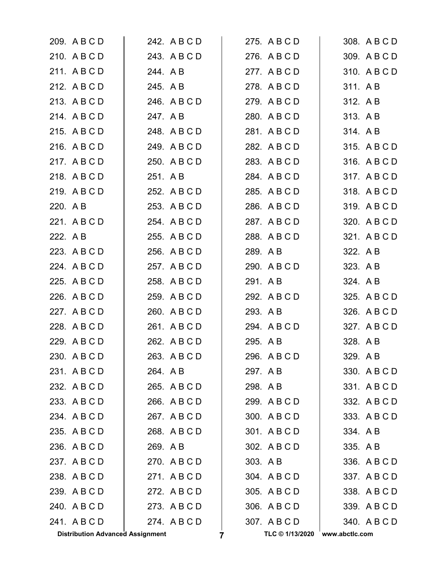| 209. A B C D                            | 242. A B C D | 275. A B C D         | 308. A B C D   |
|-----------------------------------------|--------------|----------------------|----------------|
| 210. A B C D                            | 243. A B C D | 276. A B C D         | 309. A B C D   |
| 211. ABCD                               | 244. A B     | 277. ABCD            | 310. A B C D   |
| 212. A B C D                            | 245. A B     | 278. A B C D         | 311. AB        |
| 213. A B C D                            | 246. A B C D | 279. A B C D         | 312. AB        |
| 214. ABCD                               | 247. A B     | 280. A B C D         | 313. AB        |
| 215. A B C D                            | 248. A B C D | 281. A B C D         | 314. A B       |
| 216. A B C D                            | 249. A B C D | 282. A B C D         | 315. A B C D   |
| 217. ABCD                               | 250. A B C D | 283. A B C D         | 316. A B C D   |
| 218. ABCD                               | 251. A B     | 284. A B C D         | 317. ABCD      |
| 219. A B C D                            | 252. A B C D | 285. A B C D         | 318. A B C D   |
| 220. A B                                | 253. A B C D | 286. A B C D         | 319. A B C D   |
| 221. A B C D                            | 254. A B C D | 287. ABCD            | 320. A B C D   |
| 222. A B                                | 255. A B C D | 288. A B C D         | 321. A B C D   |
| 223. A B C D                            | 256. A B C D | 289. A B             | 322. A B       |
| 224. A B C D                            | 257. A B C D | 290. A B C D         | 323. A B       |
| 225. A B C D                            | 258. A B C D | 291. A B             | 324. AB        |
| 226. A B C D                            | 259. A B C D | 292. A B C D         | 325. A B C D   |
| 227. A B C D                            | 260. A B C D | 293. A B             | 326. A B C D   |
| 228. A B C D                            | 261. A B C D | 294. A B C D         | 327. A B C D   |
| 229. A B C D                            | 262. A B C D | 295. A B             | 328. A B       |
| 230. A B C D                            | 263. A B C D | 296. A B C D         | 329. AB        |
| 231. ABCD                               | 264. AB      | 297. AB              | 330. A B C D   |
| 232. A B C D                            | 265. A B C D | 298. AB              | 331. ABCD      |
| 233. A B C D                            | 266. A B C D | 299. A B C D         | 332. A B C D   |
| 234. ABCD                               | 267. ABCD    | 300. A B C D         | 333. A B C D   |
| 235. A B C D                            | 268. A B C D | 301. ABCD            | 334. AB        |
| 236. A B C D                            | 269. A B     | 302. A B C D         | 335. A B       |
| 237. ABCD                               | 270. A B C D | 303. AB              | 336. A B C D   |
| 238. A B C D                            | 271. ABCD    | 304. A B C D         | 337. A B C D   |
| 239. ABCD                               | 272. A B C D | 305. A B C D         | 338. A B C D   |
| 240. A B C D                            | 273. A B C D | 306. A B C D         | 339. A B C D   |
| 241. ABCD                               | 274. ABCD    | 307. ABCD            | 340. A B C D   |
| <b>Distribution Advanced Assignment</b> |              | TLC © 1/13/2020<br>7 | www.abctlc.com |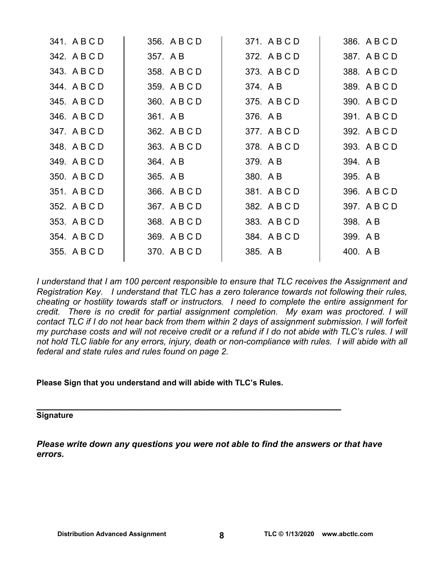| 341. A B C D | 356. A B C D | 371. ABCD    | 386. ABCD    |
|--------------|--------------|--------------|--------------|
| 342. A B C D | 357. A B     | 372. A B C D | 387. A B C D |
| 343. A B C D | 358. A B C D | 373. A B C D | 388. A B C D |
| 344. A B C D | 359. A B C D | 374. AB      | 389. A B C D |
| 345. A B C D | 360. A B C D | 375. A B C D | 390. A B C D |
| 346. A B C D | 361. A B     | 376. A B     | 391. A B C D |
| 347. A B C D | 362. A B C D | 377. A B C D | 392. A B C D |
| 348. A B C D | 363. A B C D | 378. A B C D | 393. A B C D |
| 349. A B C D | 364. A B     | 379. A B     | 394. A B     |
| 350. A B C D | 365. A B     | 380. A B     | 395. A B     |
| 351. A B C D | 366. A B C D | 381. ABCD    | 396. A B C D |
| 352. A B C D | 367. A B C D | 382. A B C D | 397. ABCD    |
| 353. A B C D | 368. A B C D | 383. A B C D | 398. A B     |
| 354. A B C D | 369. A B C D | 384. A B C D | 399. AB      |
| 355. A B C D | 370. A B C D | 385. A B     | 400. A B     |
|              |              |              |              |

*I understand that I am 100 percent responsible to ensure that TLC receives the Assignment and Registration Key. I understand that TLC has a zero tolerance towards not following their rules, cheating or hostility towards staff or instructors. I need to complete the entire assignment for credit. There is no credit for partial assignment completion. My exam was proctored. I will contact TLC if I do not hear back from them within 2 days of assignment submission. I will forfeit my purchase costs and will not receive credit or a refund if I do not abide with TLC's rules. I will not hold TLC liable for any errors, injury, death or non-compliance with rules. I will abide with all federal and state rules and rules found on page 2.* 

**Please Sign that you understand and will abide with TLC's Rules.** 

# **\_\_\_\_\_\_\_\_\_\_\_\_\_\_\_\_\_\_\_\_\_\_\_\_\_\_\_\_\_\_\_\_\_\_\_\_\_\_\_\_\_\_\_\_\_\_\_\_\_\_\_\_\_\_ Signature**

*Please write down any questions you were not able to find the answers or that have errors.*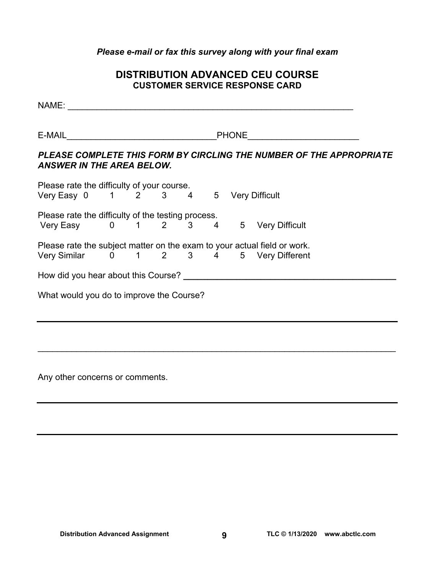#### *Please e-mail or fax this survey along with your final exam*

### **DISTRIBUTION ADVANCED CEU COURSE CUSTOMER SERVICE RESPONSE CARD**

NAME: \_\_\_\_\_\_\_\_\_\_\_\_\_\_\_\_\_\_\_\_\_\_\_\_\_\_\_\_\_\_\_\_\_\_\_\_\_\_\_\_\_\_\_\_\_\_\_\_\_\_\_\_\_\_\_\_\_\_\_

E-MAIL\_\_\_\_\_\_\_\_\_\_\_\_\_\_\_\_\_\_\_\_\_\_\_\_\_\_\_\_\_\_\_PHONE\_\_\_\_\_\_\_\_\_\_\_\_\_\_\_\_\_\_\_\_\_\_\_

### *PLEASE COMPLETE THIS FORM BY CIRCLING THE NUMBER OF THE APPROPRIATE ANSWER IN THE AREA BELOW.*

| Please rate the difficulty of your course.         |  |  |  |  |  |                |                |                                                                          |  |
|----------------------------------------------------|--|--|--|--|--|----------------|----------------|--------------------------------------------------------------------------|--|
|                                                    |  |  |  |  |  | 5 <sup>5</sup> |                | <b>Very Difficult</b>                                                    |  |
| Please rate the difficulty of the testing process. |  |  |  |  |  |                |                |                                                                          |  |
| Very Easy $0 \t 1 \t 2 \t 3$                       |  |  |  |  |  | $\overline{4}$ | 5 <sub>5</sub> | <b>Very Difficult</b>                                                    |  |
|                                                    |  |  |  |  |  |                |                | Please rate the subject matter on the exam to your actual field or work. |  |
| Very Similar   0   1   2   3   4                   |  |  |  |  |  |                |                | 5 Very Different                                                         |  |
| How did you hear about this Course? ___            |  |  |  |  |  |                |                |                                                                          |  |
| What would you do to improve the Course?           |  |  |  |  |  |                |                |                                                                          |  |
|                                                    |  |  |  |  |  |                |                |                                                                          |  |

 $\mathcal{L}_\text{max}$  and  $\mathcal{L}_\text{max}$  and  $\mathcal{L}_\text{max}$  and  $\mathcal{L}_\text{max}$  and  $\mathcal{L}_\text{max}$  and  $\mathcal{L}_\text{max}$  and  $\mathcal{L}_\text{max}$ 

Any other concerns or comments.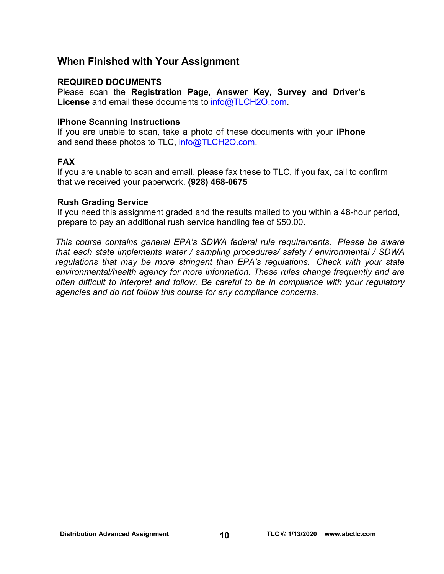### **When Finished with Your Assignment**

#### **REQUIRED DOCUMENTS**

Please scan the **Registration Page, Answer Key, Survey and Driver's License** and email these documents to [info@TLCH2O.com.](mailto:info@TLCH2O.com) 

#### **IPhone Scanning Instructions**

If you are unable to scan, take a photo of these documents with your **iPhone** and send these photos to TLC, info@TLCH2O.com.

#### **FAX**

If you are unable to scan and email, please fax these to TLC, if you fax, call to confirm that we received your paperwork. **(928) 468-0675** 

#### **Rush Grading Service**

If you need this assignment graded and the results mailed to you within a 48-hour period, prepare to pay an additional rush service handling fee of \$50.00.

*This course contains general EPA's SDWA federal rule requirements. Please be aware that each state implements water / sampling procedures/ safety / environmental / SDWA regulations that may be more stringent than EPA's regulations. Check with your state environmental/health agency for more information. These rules change frequently and are often difficult to interpret and follow. Be careful to be in compliance with your regulatory agencies and do not follow this course for any compliance concerns.*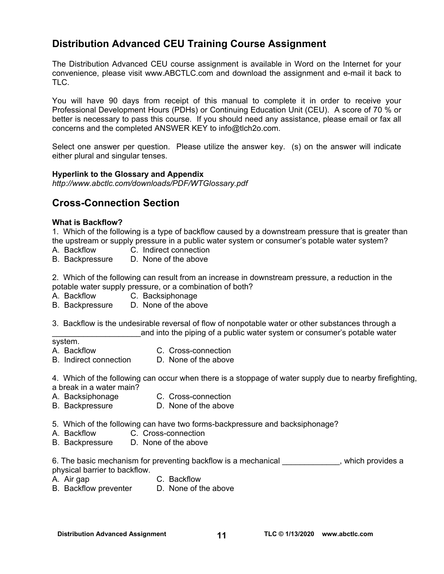### **Distribution Advanced CEU Training Course Assignment**

The Distribution Advanced CEU course assignment is available in Word on the Internet for your convenience, please visit [www.ABCTLC.com an](http://www.ABCTLC.com)d download the assignment and e-mail it back to TLC.

You will have 90 days from receipt of this manual to complete it in order to receive your Professional Development Hours (PDHs) or Continuing Education Unit (CEU). A score of 70 % or better is necessary to pass this course. If you should need any assistance, please email or fax all concerns and the completed ANSWER KEY to [info@tlch2o.com.](mailto:info@tlch2o.com) 

Select one answer per question. Please utilize the answer key. (s) on the answer will indicate either plural and singular tenses.

#### **Hyperlink to the Glossary and Appendix**

*<http://www.abctlc.com/downloads/PDF/WTGlossary.pdf>*

### **Cross-Connection Section**

#### **What is Backflow?**

1. Which of the following is a type of backflow caused by a downstream pressure that is greater than the upstream or supply pressure in a public water system or consumer's potable water system?

- A. Backflow C. Indirect connection
- B. Backpressure D. None of the above

2. Which of the following can result from an increase in downstream pressure, a reduction in the potable water supply pressure, or a combination of both?

- A. Backflow C. Backsiphonage
- B. Backpressure D. None of the above

3. Backflow is the undesirable reversal of flow of nonpotable water or other substances through a and into the piping of a public water system or consumer's potable water

#### system.

- A. Backflow C. Cross-connection
- B. Indirect connection D. None of the above

4. Which of the following can occur when there is a stoppage of water supply due to nearby firefighting, a break in a water main?

- A. Backsiphonage C. Cross-connection
- B. Backpressure D. None of the above
- 5. Which of the following can have two forms-backpressure and backsiphonage?
- A. Backflow C. Cross-connection
- B. Backpressure D. None of the above

6. The basic mechanism for preventing backflow is a mechanical \_\_\_\_\_\_\_\_\_\_\_\_, which provides a physical barrier to backflow.

- A. Air gap C. Backflow
	-
- B. Backflow preventer D. None of the above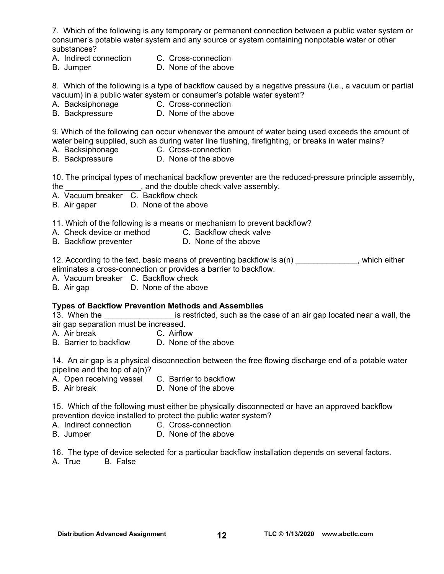7. Which of the following is any temporary or permanent connection between a public water system or consumer's potable water system and any source or system containing nonpotable water or other substances?

- A. Indirect connection C. Cross-connection
	-
- B. Jumper D. None of the above

8. Which of the following is a type of backflow caused by a negative pressure (i.e., a vacuum or partial vacuum) in a public water system or consumer's potable water system?

- A. Backsiphonage C. Cross-connection
- B. Backpressure D. None of the above

9. Which of the following can occur whenever the amount of water being used exceeds the amount of water being supplied, such as during water line flushing, firefighting, or breaks in water mains?

- A. Backsiphonage C. Cross-connection
- B. Backpressure D. None of the above

10. The principal types of mechanical backflow preventer are the reduced-pressure principle assembly, the <u>equal contribution of the double check</u> valve assembly.

- A. Vacuum breaker C. Backflow check
- B. Air gaper D. None of the above

11. Which of the following is a means or mechanism to prevent backflow?

- A. Check device or method C. Backflow check valve
- B. Backflow preventer **D.** None of the above

12. According to the text, basic means of preventing backflow is  $a(n)$  , which either eliminates a cross-connection or provides a barrier to backflow.

A. Vacuum breaker C. Backflow check

B. Air gap D. None of the above

#### **Types of Backflow Prevention Methods and Assemblies**

13. When the **the superfield**, such as the case of an air gap located near a wall, the air gap separation must be increased.

A. Air break C. Airflow

B. Barrier to backflow D. None of the above

14. An air gap is a physical disconnection between the free flowing discharge end of a potable water pipeline and the top of a(n)?

- A. Open receiving vessel C. Barrier to backflow
- B. Air break D. None of the above

15. Which of the following must either be physically disconnected or have an approved backflow prevention device installed to protect the public water system?

- A. Indirect connection C. Cross-connection
- B. Jumper D. None of the above

16. The type of device selected for a particular backflow installation depends on several factors. A. True B. False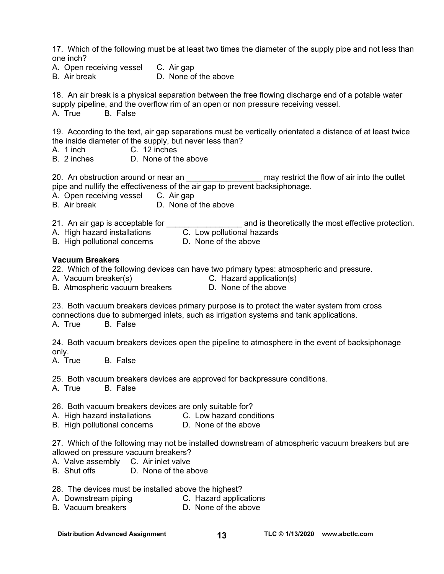17. Which of the following must be at least two times the diameter of the supply pipe and not less than one inch?

- A. Open receiving vessel C. Air gap
- B. Air break D. None of the above

18. An air break is a physical separation between the free flowing discharge end of a potable water supply pipeline, and the overflow rim of an open or non pressure receiving vessel.

A. True B. False

19. According to the text, air gap separations must be vertically orientated a distance of at least twice the inside diameter of the supply, but never less than?

- A. 1 inch C. 12 inches
- B. 2 inches D. None of the above

20. An obstruction around or near an \_\_\_\_\_\_\_\_\_\_\_\_\_\_\_\_\_\_\_\_\_ may restrict the flow of air into the outlet pipe and nullify the effectiveness of the air gap to prevent backsiphonage.

- A. Open receiving vessel C. Air gap
- B. Air break D. None of the above
- 
- 21. An air gap is acceptable for **the contract of an**d is theoretically the most effective protection.
- A. High hazard installations C. Low pollutional hazards
- B. High pollutional concerns D. None of the above

#### **Vacuum Breakers**

- 22. Which of the following devices can have two primary types: atmospheric and pressure.
- A. Vacuum breaker(s) C. Hazard application(s)
	-
- B. Atmospheric vacuum breakers D. None of the above
- 

23. Both vacuum breakers devices primary purpose is to protect the water system from cross connections due to submerged inlets, such as irrigation systems and tank applications. A. True B. False

24. Both vacuum breakers devices open the pipeline to atmosphere in the event of backsiphonage only.

A. True B. False

25. Both vacuum breakers devices are approved for backpressure conditions.

A. True B. False

- 26. Both vacuum breakers devices are only suitable for?
- A. High hazard installations C. Low hazard conditions
- B. High pollutional concerns D. None of the above

27. Which of the following may not be installed downstream of atmospheric vacuum breakers but are allowed on pressure vacuum breakers?

- A. Valve assembly C. Air inlet valve<br>B. Shut offs D. None of the at
- D. None of the above
- 28. The devices must be installed above the highest?
- A. Downstream piping C. Hazard applications
- B. Vacuum breakers **D. None of the above**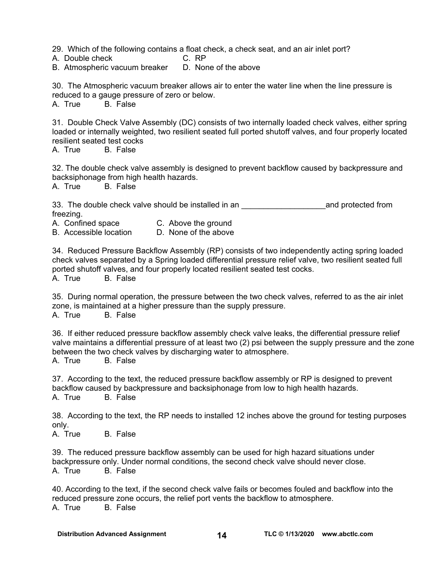29. Which of the following contains a float check, a check seat, and an air inlet port?

A. Double check C. RP

B. Atmospheric vacuum breaker D. None of the above

30. The Atmospheric vacuum breaker allows air to enter the water line when the line pressure is reduced to a gauge pressure of zero or below.

A. True B. False

31. Double Check Valve Assembly (DC) consists of two internally loaded check valves, either spring loaded or internally weighted, two resilient seated full ported shutoff valves, and four properly located resilient seated test cocks

A. True B. False

32. The double check valve assembly is designed to prevent backflow caused by backpressure and backsiphonage from high health hazards.

A. True B. False

33. The double check valve should be installed in an **Example 20** and protected from freezing.

A. Confined space C. Above the ground

B. Accessible location D. None of the above

34. Reduced Pressure Backflow Assembly (RP) consists of two independently acting spring loaded check valves separated by a Spring loaded differential pressure relief valve, two resilient seated full ported shutoff valves, and four properly located resilient seated test cocks.

A. True B. False

35. During normal operation, the pressure between the two check valves, referred to as the air inlet zone, is maintained at a higher pressure than the supply pressure. A. True B. False

36. If either reduced pressure backflow assembly check valve leaks, the differential pressure relief valve maintains a differential pressure of at least two (2) psi between the supply pressure and the zone between the two check valves by discharging water to atmosphere.

A. True B. False

37. According to the text, the reduced pressure backflow assembly or RP is designed to prevent backflow caused by backpressure and backsiphonage from low to high health hazards. A. True B. False

38. According to the text, the RP needs to installed 12 inches above the ground for testing purposes only.

A. True B. False

39. The reduced pressure backflow assembly can be used for high hazard situations under backpressure only. Under normal conditions, the second check valve should never close. A. True B. False

40. According to the text, if the second check valve fails or becomes fouled and backflow into the reduced pressure zone occurs, the relief port vents the backflow to atmosphere. A. True B. False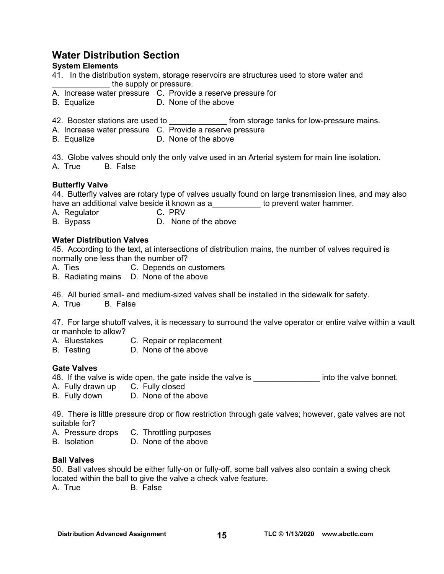### **Water Distribution Section**

#### **System Elements**

- 41. In the distribution system, storage reservoirs are structures used to store water and the supply or pressure.
- A. Increase water pressure C. Provide a reserve pressure for
- B. Equalize D. None of the above
- 42. Booster stations are used to **the endominguity of the state of the state of the state of the state of the sta**
- A. Increase water pressure C. Provide a reserve pressure
- B. Equalize D. None of the above

43. Globe valves should only the only valve used in an Arterial system for main line isolation. A. True B. False

#### **Butterfly Valve**

44. Butterfly valves are rotary type of valves usually found on large transmission lines, and may also have an additional valve beside it known as a both the prevent water hammer.

- A. Regulator C. PRV
- B. Bypass D. None of the above

#### **Water Distribution Valves**

45. According to the text, at intersections of distribution mains, the number of valves required is normally one less than the number of?

- A. Ties C. Depends on customers
- B. Radiating mains D. None of the above

46. All buried small- and medium-sized valves shall be installed in the sidewalk for safety.

A. True B. False

47. For large shutoff valves, it is necessary to surround the valve operator or entire valve within a vault or manhole to allow?

- A. Bluestakes C. Repair or replacement
- B. Testing D. None of the above

#### **Gate Valves**

48. If the valve is wide open, the gate inside the valve is \_\_\_\_\_\_\_\_\_\_\_\_\_\_\_\_\_\_\_\_ into the valve bonnet.

- A. Fully drawn up C. Fully closed
- B. Fully down D. None of the above

49. There is little pressure drop or flow restriction through gate valves; however, gate valves are not suitable for?

- A. Pressure drops C. Throttling purposes
- B. Isolation D. None of the above

#### **Ball Valves**

50. Ball valves should be either fully-on or fully-off, some ball valves also contain a swing check located within the ball to give the valve a check valve feature.

A. True B. False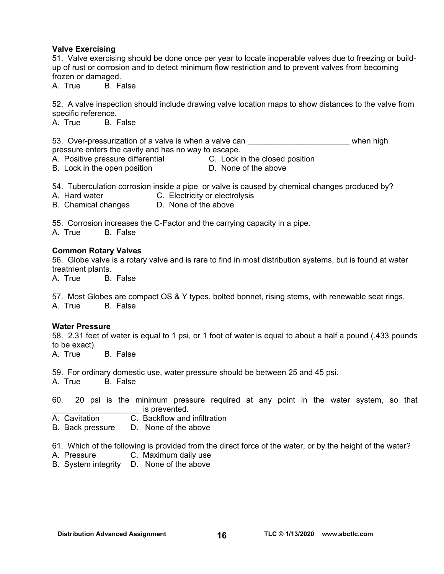#### **Valve Exercising**

51. Valve exercising should be done once per year to locate inoperable valves due to freezing or buildup of rust or corrosion and to detect minimum flow restriction and to prevent valves from becoming frozen or damaged.

A. True B. False

52. A valve inspection should include drawing valve location maps to show distances to the valve from specific reference.

A. True B. False

53. Over-pressurization of a valve is when a valve can \_\_\_\_\_\_\_\_\_\_\_\_\_\_\_\_\_\_\_\_\_\_\_\_\_\_ when high pressure enters the cavity and has no way to escape.

- A. Positive pressure differential **C.** Lock in the closed position
- B. Lock in the open position D. None of the above

54. Tuberculation corrosion inside a pipe or valve is caused by chemical changes produced by?

- A. Hard water **C. Electricity or electrolysis**
- B. Chemical changes D. None of the above

55. Corrosion increases the C-Factor and the carrying capacity in a pipe.

A. True B. False

#### **Common Rotary Valves**

56. Globe valve is a rotary valve and is rare to find in most distribution systems, but is found at water treatment plants.

A. True B. False

57. Most Globes are compact OS & Y types, bolted bonnet, rising stems, with renewable seat rings. A. True B. False

#### **Water Pressure**

58. 2.31 feet of water is equal to 1 psi, or 1 foot of water is equal to about a half a pound (.433 pounds to be exact).

A. True B. False

59. For ordinary domestic use, water pressure should be between 25 and 45 psi.

A. True B. False

60. 20 psi is the minimum pressure required at any point in the water system, so that is prevented.

- A. Cavitation C. Backflow and infiltration
- B. Back pressure D. None of the above

61. Which of the following is provided from the direct force of the water, or by the height of the water?

- A. Pressure C. Maximum daily use
- B. System integrity D. None of the above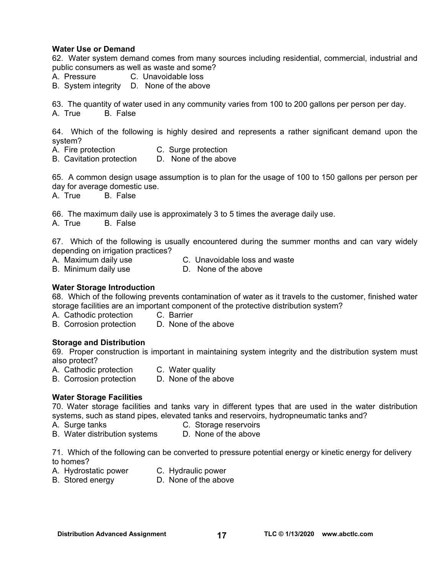#### **Water Use or Demand**

62. Water system demand comes from many sources including residential, commercial, industrial and public consumers as well as waste and some?

- A. Pressure C. Unavoidable loss
- B. System integrity D. None of the above

63. The quantity of water used in any community varies from 100 to 200 gallons per person per day.

A. True B. False

64. Which of the following is highly desired and represents a rather significant demand upon the system?

- A. Fire protection C. Surge protection
- B. Cavitation protection D. None of the above

65. A common design usage assumption is to plan for the usage of 100 to 150 gallons per person per day for average domestic use.

A. True B. False

66. The maximum daily use is approximately 3 to 5 times the average daily use.

A. True B. False

67. Which of the following is usually encountered during the summer months and can vary widely depending on irrigation practices?

- A. Maximum daily use C. Unavoidable loss and waste
	-
- B. Minimum daily use D. None of the above

#### **Water Storage Introduction**

68. Which of the following prevents contamination of water as it travels to the customer, finished water storage facilities are an important component of the protective distribution system?

- A. Cathodic protection C. Barrier
- B. Corrosion protection D. None of the above

#### **Storage and Distribution**

69. Proper construction is important in maintaining system integrity and the distribution system must also protect?

- A. Cathodic protection C. Water quality
- B. Corrosion protection D. None of the above

#### **Water Storage Facilities**

70. Water storage facilities and tanks vary in different types that are used in the water distribution systems, such as stand pipes, elevated tanks and reservoirs, hydropneumatic tanks and?

- A.Surge tanks C. Storage reservoirs
- B. Water distribution systems D. None of the above

71. Which of the following can be converted to pressure potential energy or kinetic energy for delivery to homes?

- A. Hydrostatic power C. Hydraulic power
	-
- B. Stored energy D. None of the above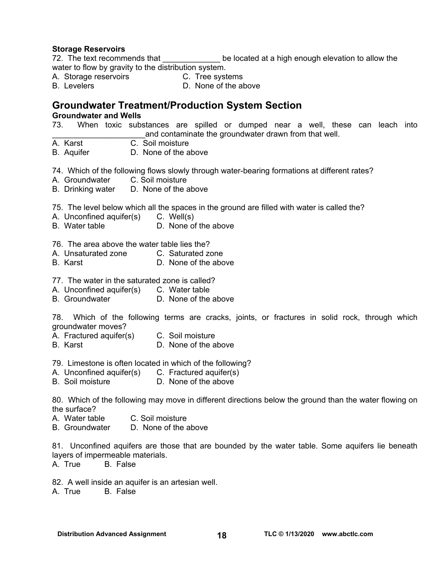#### **Storage Reservoirs**

72. The text recommends that be located at a high enough elevation to allow the water to flow by gravity to the distribution system.

- A. Storage reservoirs **C. Tree systems**
- B. Levelers **D. None of the above**

### **Groundwater Treatment/Production System Section**

**Groundwater and Wells** 

- 73. When toxic substances are spilled or dumped near a well, these can leach into and contaminate the groundwater drawn from that well.<br>A. Karst C. Soil moisture
- C. Soil moisture
- B. Aquifer D. None of the above

74. Which of the following flows slowly through water-bearing formations at different rates?<br>A. Groundwater C. Soil moisture

- A. Groundwater
- B. Drinking water D. None of the above

75. The level below which all the spaces in the ground are filled with water is called the?

- A. Unconfined aquifer(s) C. Well(s)
- B. Water table  $\overline{D}$  None of the above

76. The area above the water table lies the?

- A. Unsaturated zone C. Saturated zone
- B. Karst D. None of the above
- 77. The water in the saturated zone is called?
- A. Unconfined aquifer(s) C. Water table
- B. Groundwater D. None of the above

78. Which of the following terms are cracks, joints, or fractures in solid rock, through which groundwater moves?

- A. Fractured aquifer(s) C. Soil moisture
- B. Karst D. None of the above

79. Limestone is often located in which of the following?

- A. Unconfined aquifer(s) C. Fractured aquifer(s)
- B. Soil moisture D. None of the above

80. Which of the following may move in different directions below the ground than the water flowing on the surface?

- A. Water table C. Soil moisture
- B. Groundwater D. None of the above

81. Unconfined aquifers are those that are bounded by the water table. Some aquifers lie beneath layers of impermeable materials.

A. True B. False

82. A well inside an aquifer is an artesian well.

A. True B. False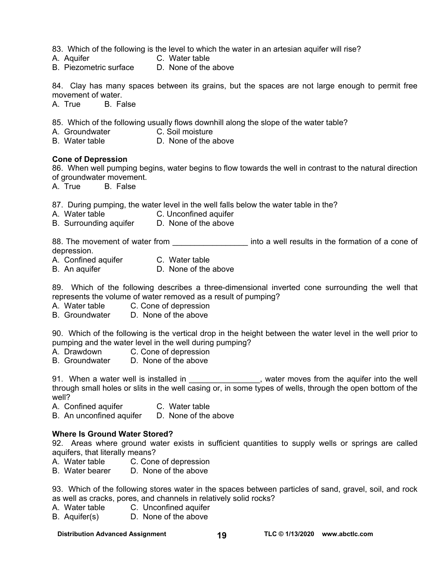83. Which of the following is the level to which the water in an artesian aquifer will rise?

- A. Aquifer C. Water table
- B. Piezometric surface D. None of the above

84. Clay has many spaces between its grains, but the spaces are not large enough to permit free movement of water.

A. True B. False

85. Which of the following usually flows downhill along the slope of the water table?

- A. Groundwater C. Soil moisture
- B. Water table  $D.$  None of the above

#### **Cone of Depression**

86. When well pumping begins, water begins to flow towards the well in contrast to the natural direction of groundwater movement.

A. True B. False

87. During pumping, the water level in the well falls below the water table in the?

- A. Water table C. Unconfined aquifer
- B. Surrounding aquifer D. None of the above

88. The movement of water from **Example 20** into a well results in the formation of a cone of depression.

- A. Confined aquifer C. Water table
- B. An aquifer D. None of the above

89. Which of the following describes a three-dimensional inverted cone surrounding the well that represents the volume of water removed as a result of pumping?

- A. Water table C. Cone of depression
- B. Groundwater D. None of the above

90. Which of the following is the vertical drop in the height between the water level in the well prior to pumping and the water level in the well during pumping?

- A. Drawdown C. Cone of depression
- B. Groundwater D. None of the above

91. When a water well is installed in \_\_\_\_\_\_\_\_\_\_\_\_\_\_\_, water moves from the aquifer into the well through small holes or slits in the well casing or, in some types of wells, through the open bottom of the well?

A. Confined aquifer **C. Water table** 

B. An unconfined aquifer D. None of the above

#### **Where Is Ground Water Stored?**

92. Areas where ground water exists in sufficient quantities to supply wells or springs are called aquifers, that literally means?

- A. Water table C. Cone of depression<br>B. Water bearer D. None of the above
- B. Water bearer

93. Which of the following stores water in the spaces between particles of sand, gravel, soil, and rock as well as cracks, pores, and channels in relatively solid rocks?

- A. Water table C. Unconfined aquifer
- B. Aquifer(s) D. None of the above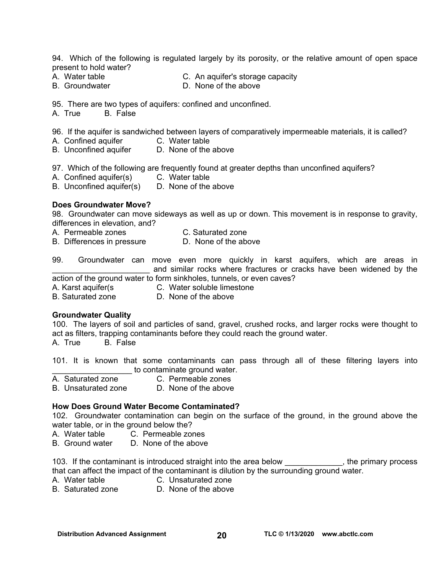94. Which of the following is regulated largely by its porosity, or the relative amount of open space present to hold water?

- 
- 
- A. Water table C. An aquifer's storage capacity
- B. Groundwater **D. None of the above**

95. There are two types of aquifers: confined and unconfined.

A. True B. False

96. If the aquifer is sandwiched between layers of comparatively impermeable materials, it is called?

- A. Confined aquifer **C. Water table**
- B. Unconfined aquifer D. None of the above

97. Which of the following are frequently found at greater depths than unconfined aquifers?

- A. Confined aquifer(s) C. Water table
- B. Unconfined aquifer(s) D. None of the above

#### **Does Groundwater Move?**

98. Groundwater can move sideways as well as up or down. This movement is in response to gravity, differences in elevation, and?

- A. Permeable zones C. Saturated zone
- B. Differences in pressure D. None of the above

99. Groundwater can move even more quickly in karst aquifers, which are areas in and similar rocks where fractures or cracks have been widened by the action of the ground water to form sinkholes, tunnels, or even caves?

- A. Karst aquifer(s C. Water soluble limestone
- 
- B. Saturated zone D. None of the above

#### **Groundwater Quality**

100. The layers of soil and particles of sand, gravel, crushed rocks, and larger rocks were thought to act as filters, trapping contaminants before they could reach the ground water.

A. True B. False

101. It is known that some contaminants can pass through all of these filtering layers into **EXECUTE:** to contaminate ground water.

- A. Saturated zone C. Permeable zones
- B. Unsaturated zone D. None of the above

#### **How Does Ground Water Become Contaminated?**

102. Groundwater contamination can begin on the surface of the ground, in the ground above the water table, or in the ground below the?

- A. Water table C. Permeable zones
- B. Ground water D. None of the above

103. If the contaminant is introduced straight into the area below exactled the primary process that can affect the impact of the contaminant is dilution by the surrounding ground water.

- 
- A. Water table C. Unsaturated zone
- B. Saturated zone D. None of the above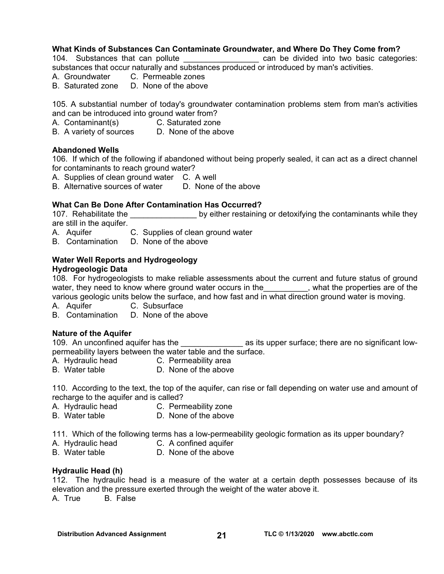#### **What Kinds of Substances Can Contaminate Groundwater, and Where Do They Come from?**

104. Substances that can pollute \_\_\_\_\_\_\_\_\_\_\_\_\_\_\_\_\_\_\_\_ can be divided into two basic categories:

substances that occur naturally and substances produced or introduced by man's activities.

- A. Groundwater C. Permeable zones
- B. Saturated zone D. None of the above

105. A substantial number of today's groundwater contamination problems stem from man's activities and can be introduced into ground water from?

- A. Contaminant(s) C. Saturated zone
- B. A variety of sources D. None of the above

#### **Abandoned Wells**

106. If which of the following if abandoned without being properly sealed, it can act as a direct channel for contaminants to reach ground water?

- A. Supplies of clean ground water C. A well
- B. Alternative sources of water D. None of the above

#### **What Can Be Done After Contamination Has Occurred?**

107. Rehabilitate the **the contaminants while they** by either restaining or detoxifying the contaminants while they are still in the aquifer.

- A. Aquifer C. Supplies of clean ground water
- B. Contamination D. None of the above

#### **Water Well Reports and Hydrogeology**

#### **Hydrogeologic Data**

108. For hydrogeologists to make reliable assessments about the current and future status of ground water, they need to know where ground water occurs in the water what the properties are of the various geologic units below the surface, and how fast and in what direction ground water is moving.

A. Aquifer C. Subsurface

B. Contamination D. None of the above

#### **Nature of the Aquifer**

109. An unconfined aquifer has the \_\_\_\_\_\_\_\_\_\_\_\_\_\_\_\_ as its upper surface; there are no significant lowpermeability layers between the water table and the surface.

- A. Hydraulic head C. Permeability area
	-
- B. Water table D. None of the above

110. According to the text, the top of the aquifer, can rise or fall depending on water use and amount of recharge to the aquifer and is called?

- A. Hydraulic head C. Permeability zone
- B. Water table **D.** None of the above

111. Which of the following terms has a low-permeability geologic formation as its upper boundary?

- A. Hydraulic head C. A confined aquifer
- B. Water table **D.** None of the above

#### **Hydraulic Head (h)**

112. The hydraulic head is a measure of the water at a certain depth possesses because of its elevation and the pressure exerted through the weight of the water above it. A. True B. False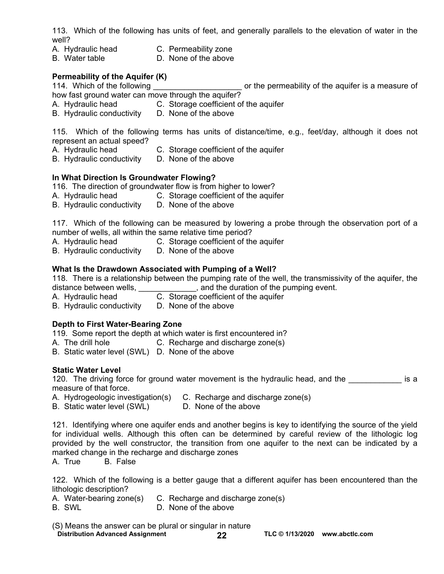113. Which of the following has units of feet, and generally parallels to the elevation of water in the well?

- A. Hydraulic head C. Permeability zone<br>B. Water table C. None of the above
- D. None of the above

#### **Permeability of the Aquifer (K)**

114. Which of the following \_\_\_\_\_\_\_\_\_\_\_\_\_\_\_\_\_\_\_\_\_\_\_ or the permeability of the aquifer is a measure of

- how fast ground water can move through the aquifer?
- A. Hydraulic head C. Storage coefficient of the aquifer
- B. Hydraulic conductivity D. None of the above

115. Which of the following terms has units of distance/time, e.g., feet/day, although it does not represent an actual speed?

- A. Hydraulic head C. Storage coefficient of the aquifer
- B. Hydraulic conductivity D. None of the above

#### **In What Direction Is Groundwater Flowing?**

116. The direction of groundwater flow is from higher to lower?

- A. Hydraulic head C. Storage coefficient of the aquifer<br>B. Hydraulic conductivity D. None of the above
- B. Hydraulic conductivity

117. Which of the following can be measured by lowering a probe through the observation port of a number of wells, all within the same relative time period?

- A. Hydraulic head C. Storage coefficient of the aquifer
- B. Hydraulic conductivity D. None of the above

#### **What Is the Drawdown Associated with Pumping of a Well?**

118. There is a relationship between the pumping rate of the well, the transmissivity of the aquifer, the distance between wells, \_\_\_\_\_\_\_\_\_\_\_\_\_, and the duration of the pumping event.

- A. Hydraulic head C. Storage coefficient of the aquifer
- B. Hydraulic conductivity D. None of the above

#### **Depth to First Water-Bearing Zone**

119. Some report the depth at which water is first encountered in?

- A. The drill hole **C.** Recharge and discharge zone(s)
- B. Static water level (SWL) D. None of the above

#### **Static Water Level**

120. The driving force for ground water movement is the hydraulic head, and the **the solution is a** measure of that force.

- A. Hydrogeologic investigation(s) C. Recharge and discharge zone(s)<br>B. Static water level (SWL) D. None of the above
- B. Static water level (SWL)

121. Identifying where one aquifer ends and another begins is key to identifying the source of the yield for individual wells. Although this often can be determined by careful review of the lithologic log provided by the well constructor, the transition from one aquifer to the next can be indicated by a marked change in the recharge and discharge zones

A. True B. False

122. Which of the following is a better gauge that a different aquifer has been encountered than the lithologic description?

A. Water-bearing zone(s) C. Recharge and discharge zone(s)

B. SWL D. None of the above

(S) Means the answer can be plural or singular in nature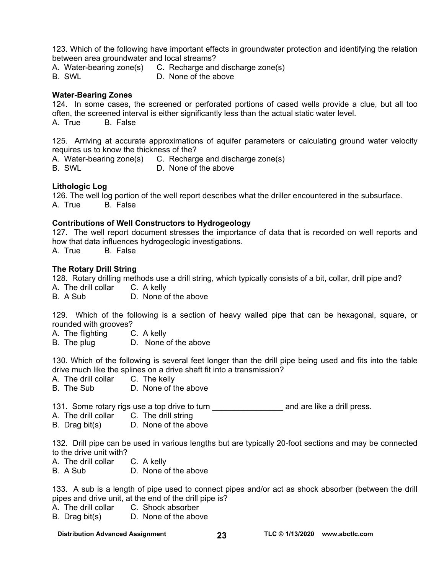123. Which of the following have important effects in groundwater protection and identifying the relation between area groundwater and local streams?

A. Water-bearing zone(s) C. Recharge and discharge zone(s)

B. SWL D. None of the above

#### **Water-Bearing Zones**

124. In some cases, the screened or perforated portions of cased wells provide a clue, but all too often, the screened interval is either significantly less than the actual static water level. A. True B. False

125. Arriving at accurate approximations of aquifer parameters or calculating ground water velocity requires us to know the thickness of the?

A. Water-bearing zone(s) C. Recharge and discharge zone(s) B. SWL D. None of the above

#### **Lithologic Log**

126. The well log portion of the well report describes what the driller encountered in the subsurface. A. True B. False

#### **Contributions of Well Constructors to Hydrogeology**

127. The well report document stresses the importance of data that is recorded on well reports and how that data influences hydrogeologic investigations.

A. True B. False

#### **The Rotary Drill String**

128. Rotary drilling methods use a drill string, which typically consists of a bit, collar, drill pipe and?

- A. The drill collar C. A kelly
- B. A Sub D. None of the above

129. Which of the following is a section of heavy walled pipe that can be hexagonal, square, or rounded with grooves?

- A. The flighting C. A kelly
- B. The plug D. None of the above

130. Which of the following is several feet longer than the drill pipe being used and fits into the table drive much like the splines on a drive shaft fit into a transmission?

- A. The drill collar C. The kelly
- B. The Sub D. None of the above

131. Some rotary rigs use a top drive to turn **the and are like a drill press.** 

- A. The drill collar C. The drill string
- B. Drag bit(s) D. None of the above

132. Drill pipe can be used in various lengths but are typically 20-foot sections and may be connected to the drive unit with?

- A. The drill collar C. A kelly
- B. A Sub D. None of the above

133. A sub is a length of pipe used to connect pipes and/or act as shock absorber (between the drill pipes and drive unit, at the end of the drill pipe is?

- A. The drill collar C. Shock absorber
- B. Drag bit(s) D. None of the above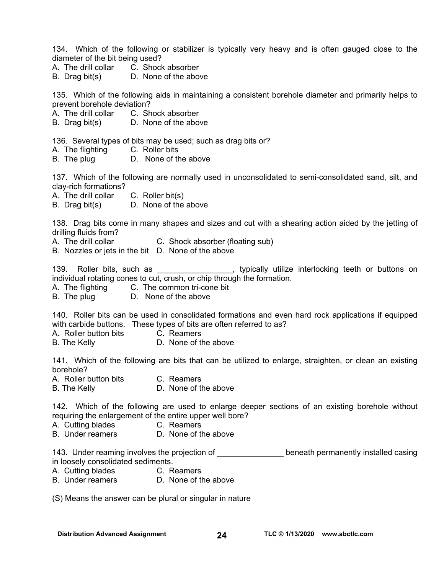134. Which of the following or stabilizer is typically very heavy and is often gauged close to the diameter of the bit being used?

- A. The drill collar C. Shock absorber
- B. Drag bit(s) D. None of the above

135. Which of the following aids in maintaining a consistent borehole diameter and primarily helps to prevent borehole deviation?

A. The drill collar C. Shock absorber

B. Drag bit(s) D. None of the above

136. Several types of bits may be used; such as drag bits or?

- A. The flighting C. Roller bits
- B. The plug D. None of the above

137. Which of the following are normally used in unconsolidated to semi-consolidated sand, silt, and clay-rich formations?

- A. The drill collar C. Roller bit(s)
- B. Drag bit(s) D. None of the above

138. Drag bits come in many shapes and sizes and cut with a shearing action aided by the jetting of drilling fluids from?

- A. The drill collar **C.** Shock absorber (floating sub)
- B. Nozzles or jets in the bit D. None of the above

139. Roller bits, such as \_\_\_\_\_\_\_\_\_\_\_\_\_\_\_, typically utilize interlocking teeth or buttons on individual rotating cones to cut, crush, or chip through the formation.

- A. The flighting C. The common tri-cone bit
- B. The plug D. None of the above

140. Roller bits can be used in consolidated formations and even hard rock applications if equipped with carbide buttons. These types of bits are often referred to as?

A. Roller button bits C. Reamers

B. The Kelly **D. None of the above** 

141. Which of the following are bits that can be utilized to enlarge, straighten, or clean an existing borehole?

A. Roller button bits C. Reamers

B. The Kelly **D. None of the above** 

142. Which of the following are used to enlarge deeper sections of an existing borehole without requiring the enlargement of the entire upper well bore?

- A. Cutting blades C. Reamers
- B. Under reamers D. None of the above

143. Under reaming involves the projection of the state of the present permanently installed casing in loosely consolidated sediments.

- A. Cutting blades C. Reamers
- B. Under reamers D. None of the above

(S) Means the answer can be plural or singular in nature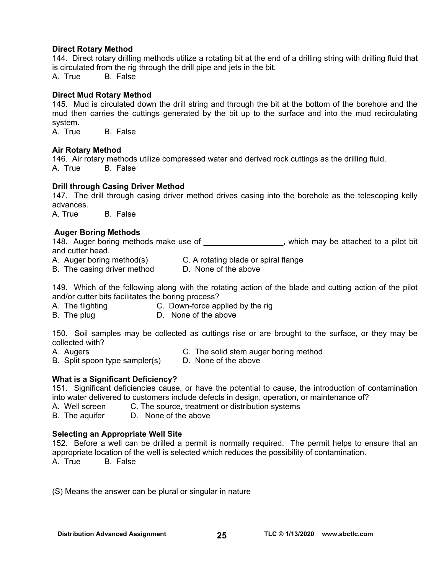#### **Direct Rotary Method**

144. Direct rotary drilling methods utilize a rotating bit at the end of a drilling string with drilling fluid that is circulated from the rig through the drill pipe and jets in the bit.

A. True B. False

#### **Direct Mud Rotary Method**

145. Mud is circulated down the drill string and through the bit at the bottom of the borehole and the mud then carries the cuttings generated by the bit up to the surface and into the mud recirculating system.<br>A. True

B. False

#### **Air Rotary Method**

146. Air rotary methods utilize compressed water and derived rock cuttings as the drilling fluid. A. True B. False

#### **Drill through Casing Driver Method**

147. The drill through casing driver method drives casing into the borehole as the telescoping kelly advances.

A. True B. False

#### **Auger Boring Methods**

148. Auger boring methods make use of  $\blacksquare$ , which may be attached to a pilot bit and cutter head.

A. Auger boring method(s) C. A rotating blade or spiral flange<br>B. The casing driver method D. None of the above

B. The casing driver method

149. Which of the following along with the rotating action of the blade and cutting action of the pilot and/or cutter bits facilitates the boring process?

- A. The flighting C. Down-force applied by the rig
- B. The plug D. None of the above

150. Soil samples may be collected as cuttings rise or are brought to the surface, or they may be collected with?

- A. Augers C. The solid stem auger boring method
	-

B. Split spoon type sampler(s) D. None of the above

#### **What is a Significant Deficiency?**

151. Significant deficiencies cause, or have the potential to cause, the introduction of contamination into water delivered to customers include defects in design, operation, or maintenance of?

A. Well screen C. The source, treatment or distribution systems

B. The aquifer D. None of the above

#### **Selecting an Appropriate Well Site**

152. Before a well can be drilled a permit is normally required. The permit helps to ensure that an appropriate location of the well is selected which reduces the possibility of contamination. A. True B. False

(S) Means the answer can be plural or singular in nature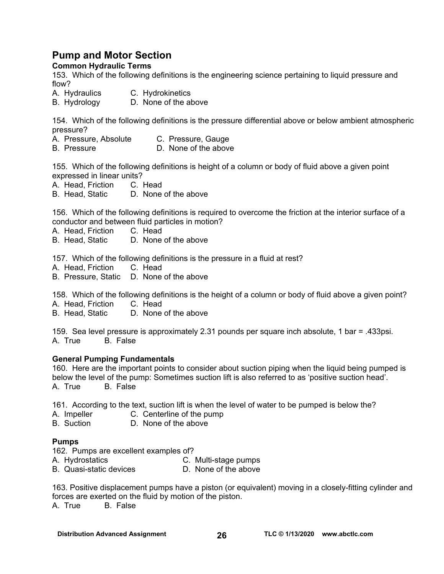### **Pump and Motor Section**

#### **Common Hydraulic Terms**

153. Which of the following definitions is the engineering science pertaining to liquid pressure and flow?

- A. Hydraulics C. Hydrokinetics
- B. Hydrology D. None of the above

154. Which of the following definitions is the pressure differential above or below ambient atmospheric pressure?

- A. Pressure, Absolute C. Pressure, Gauge
- B. Pressure **D.** None of the above

155. Which of the following definitions is height of a column or body of fluid above a given point expressed in linear units?

A. Head, Friction C. Head

B. Head, Static D. None of the above

156. Which of the following definitions is required to overcome the friction at the interior surface of a conductor and between fluid particles in motion?

A. Head, Friction C. Head

B. Head, Static D. None of the above

157. Which of the following definitions is the pressure in a fluid at rest?<br>A. Head. Friction C. Head

- A. Head, Friction
- B. Pressure, Static D. None of the above

158. Which of the following definitions is the height of a column or body of fluid above a given point?

- A. Head, Friction C. Head
- B. Head, Static D. None of the above

159. Sea level pressure is approximately 2.31 pounds per square inch absolute, 1 bar = .433psi. A. True B. False

#### **General Pumping Fundamentals**

160. Here are the important points to consider about suction piping when the liquid being pumped is below the level of the pump: Sometimes suction lift is also referred to as 'positive suction head'. A. True B. False

161. According to the text, suction lift is when the level of water to be pumped is below the?

- A. Impeller C. Centerline of the pump
- B. Suction D. None of the above

#### **Pumps**

- 162. Pumps are excellent examples of?
- A. Hydrostatics C. Multi-stage pumps
- B. Quasi-static devices D. None of the above

163. Positive displacement pumps have a piston (or equivalent) moving in a closely-fitting cylinder and forces are exerted on the fluid by motion of the piston.

A. True B. False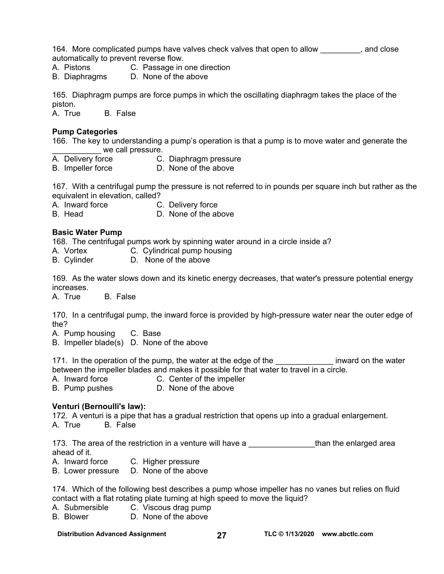164. More complicated pumps have valves check valves that open to allow exclude that open to allow automatically to prevent reverse flow.

A. Pistons C. Passage in one direction

B. Diaphragms D. None of the above

165. Diaphragm pumps are force pumps in which the oscillating diaphragm takes the place of the piston.

A. True B. False

#### **Pump Categories**

166. The key to understanding a pump's operation is that a pump is to move water and generate the we call pressure.

- A. Delivery force **C. Diaphragm pressure**
- B. Impeller force **D.** None of the above

167. With a centrifugal pump the pressure is not referred to in pounds per square inch but rather as the equivalent in elevation, called?

A. Inward force C. Delivery force

B. Head D. None of the above

#### **Basic Water Pump**

168. The centrifugal pumps work by spinning water around in a circle inside a?

- A. Vortex **C. Cylindrical pump housing**
- B. Cylinder D. None of the above

169. As the water slows down and its kinetic energy decreases, that water's pressure potential energy increases.

A. True B. False

170. In a centrifugal pump, the inward force is provided by high-pressure water near the outer edge of the?

A. Pump housing C. Base

B. Impeller blade(s) D. None of the above

171. In the operation of the pump, the water at the edge of the the sum inward on the water between the impeller blades and makes it possible for that water to travel in a circle.

A. Inward force **C. Center of the impeller** 

B. Pump pushes **D. None of the above** 

#### **Venturi (Bernoulli's law):**

172. A venturi is a pipe that has a gradual restriction that opens up into a gradual enlargement. A. True B. False

173. The area of the restriction in a venture will have a \_\_\_\_\_\_\_\_\_\_\_\_\_\_\_\_\_\_than the enlarged area ahead of it.

A. Inward force C. Higher pressure

B. Lower pressure D. None of the above

174. Which of the following best describes a pump whose impeller has no vanes but relies on fluid contact with a flat rotating plate turning at high speed to move the liquid?

- A. Submersible C. Viscous drag pump
- B. Blower D. None of the above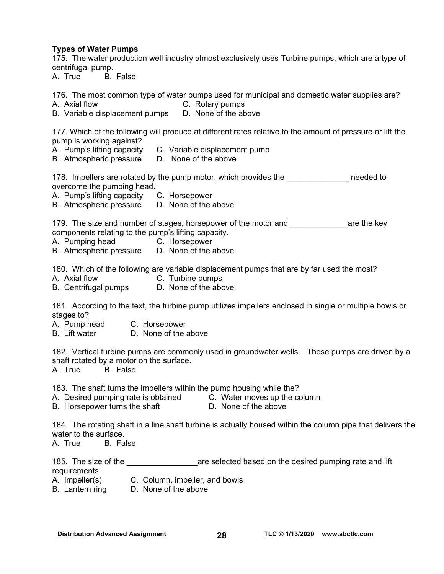#### **Types of Water Pumps**

175. The water production well industry almost exclusively uses Turbine pumps, which are a type of centrifugal pump.

A. True B. False

176. The most common type of water pumps used for municipal and domestic water supplies are?

A. Axial flow C. Rotary pumps

B. Variable displacement pumps D. None of the above

177. Which of the following will produce at different rates relative to the amount of pressure or lift the pump is working against?

- A. Pump's lifting capacity C. Variable displacement pump
- B. Atmospheric pressure D. None of the above

178. Impellers are rotated by the pump motor, which provides the \_\_\_\_\_\_\_\_\_\_\_\_\_\_\_ needed to overcome the pumping head.

A. Pump's lifting capacity C. Horsepower

B. Atmospheric pressure D. None of the above

179. The size and number of stages, horsepower of the motor and **the sexual and** are the key components relating to the pump's lifting capacity.

- A. Pumping head C. Horsepower
- B. Atmospheric pressure D. None of the above

180. Which of the following are variable displacement pumps that are by far used the most?

- A. Axial flow C. Turbine pumps
- B. Centrifugal pumps D. None of the above

181. According to the text, the turbine pump utilizes impellers enclosed in single or multiple bowls or stages to?

A. Pump head C. Horsepower

B. Lift water D. None of the above

182. Vertical turbine pumps are commonly used in groundwater wells. These pumps are driven by a shaft rotated by a motor on the surface.

A. True B. False

183. The shaft turns the impellers within the pump housing while the?

A. Desired pumping rate is obtained C. Water moves up the column

B. Horsepower turns the shaft D. None of the above

184. The rotating shaft in a line shaft turbine is actually housed within the column pipe that delivers the water to the surface.

A. True B. False

| 185. The size of the | are selected based on the desired pumping rate and lift |
|----------------------|---------------------------------------------------------|
| requirements.        |                                                         |

- A. Impeller(s) C. Column, impeller, and bowls
- B. Lantern ring D. None of the above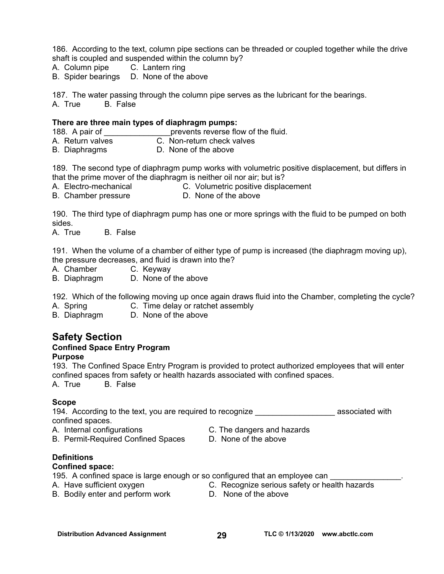186. According to the text, column pipe sections can be threaded or coupled together while the drive shaft is coupled and suspended within the column by?

- A. Column pipe C. Lantern ring
- B. Spider bearings D. None of the above

187. The water passing through the column pipe serves as the lubricant for the bearings. A. True B. False

#### **There are three main types of diaphragm pumps:**

188. A pair of **the contract of the fluid.** prevents reverse flow of the fluid.

- A. Return valves C. Non-return check valves
- B. Diaphragms D. None of the above

189. The second type of diaphragm pump works with volumetric positive displacement, but differs in that the prime mover of the diaphragm is neither oil nor air; but is?

A. Electro-mechanical C. Volumetric positive displacement

B. Chamber pressure **D. None of the above** 

190. The third type of diaphragm pump has one or more springs with the fluid to be pumped on both sides.

A. True B. False

191. When the volume of a chamber of either type of pump is increased (the diaphragm moving up), the pressure decreases, and fluid is drawn into the?

- A. Chamber C. Keyway
- B. Diaphragm D. None of the above

192. Which of the following moving up once again draws fluid into the Chamber, completing the cycle?

A. Spring C. Time delay or ratchet assembly

B. Diaphragm D. None of the above

### **Safety Section**

### **Confined Space Entry Program**

#### **Purpose**

193. The Confined Space Entry Program is provided to protect authorized employees that will enter confined spaces from safety or health hazards associated with confined spaces. A. True B. False

#### **Scope**

194. According to the text, you are required to recognize \_\_\_\_\_\_\_\_\_\_\_\_\_\_\_\_\_\_\_\_\_ associated with confined spaces.

A. Internal configurations C. The dangers and hazards

- 
- B. Permit-Required Confined Spaces D. None of the above
- 

#### **Definitions**

#### **Confined space:**

195. A confined space is large enough or so configured that an employee can

- 
- A. Have sufficient oxygen C. Recognize serious safety or health hazards
- B. Bodily enter and perform work D. None of the above
-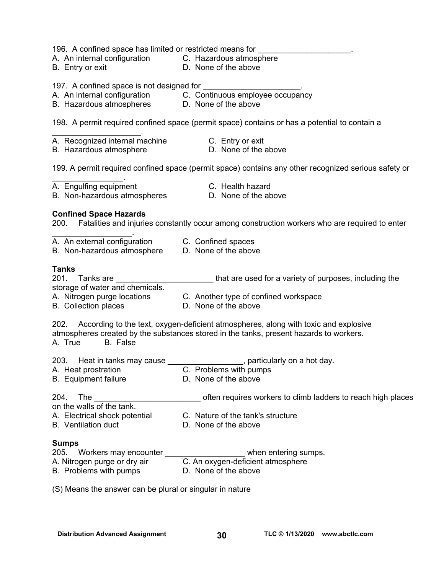196. A confined space has limited or restricted means for

- A. An internal configuration C.Hazardous atmosphere
- 
- 
- B. Entry or exit D. None of the above

197. A confined space is not designed for

- A. An internal configuration C. Continuous employee occupancy
- B. Hazardous atmospheres **D. None of the above**

198. A permit required confined space (permit space) contains or has a potential to contain a

- A. Recognized internal machine **C. Entry or exit**
- B. Hazardous atmosphere **D.** D. None of the above
- -

199. A permit required confined space (permit space) contains any other recognized serious safety or

 $\mathcal{L}_\text{max}$  . The set of the set of the set of the set of the set of the set of the set of the set of the set of the set of the set of the set of the set of the set of the set of the set of the set of the set of the set A. Engulfing equipment C. Health hazard

 $\mathcal{L}_\text{max}$  and  $\mathcal{L}_\text{max}$  and  $\mathcal{L}_\text{max}$ 

- B. Non-hazardous atmospheres **D.** None of the above
- -

#### **Confined Space Hazards**

200. Fatalities and injuries constantly occur among construction workers who are required to enter

| A. An external configuration | C. Confined spaces |
|------------------------------|--------------------|

B. Non-hazardous atmosphere D. None of the above

#### **Tanks**

| 201. | Tanks are                       | that are used for a variety of purposes, including the |
|------|---------------------------------|--------------------------------------------------------|
|      | storage of water and chemicals. |                                                        |

- A. Nitrogen purge locations C. Another type of confined workspace
- B. Collection places D. None of the above
- 

202. According to the text, oxygen-deficient atmospheres, along with toxic and explosive atmospheres created by the substances stored in the tanks, present hazards to workers. A. True B. False

| 203. Heat in tanks may cause<br>A. Heat prostration | particularly on a hot day.<br>C. Problems with pumps         |
|-----------------------------------------------------|--------------------------------------------------------------|
| <b>B.</b> Equipment failure                         | D. None of the above                                         |
| 204.<br>The<br>on the walls of the tank.            | often requires workers to climb ladders to reach high places |
| A. Electrical shock potential                       | C. Nature of the tank's structure                            |

B. Ventilation duct **D.** None of the above

#### **Sumps**

| 205. | Workers may encounter        | when entering sumps.              |
|------|------------------------------|-----------------------------------|
|      | A. Nitrogen purge or dry air | C. An oxygen-deficient atmosphere |
|      | B. Problems with pumps       | D. None of the above              |

(S) Means the answer can be plural or singular in nature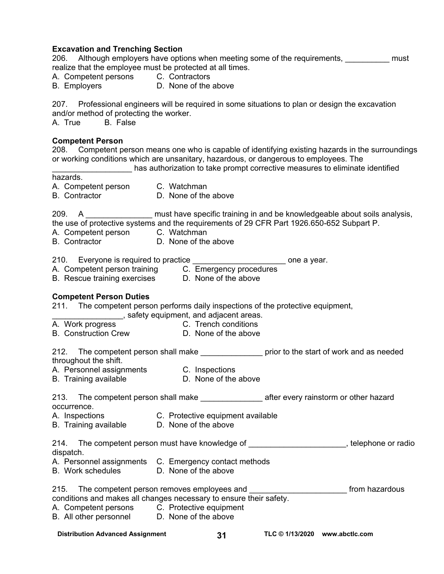#### **Excavation and Trenching Section**

206. Although employers have options when meeting some of the requirements, must realize that the employee must be protected at all times.

- A. Competent persons C. Contractors
- B. Employers **D. None of the above**

207. Professional engineers will be required in some situations to plan or design the excavation and/or method of protecting the worker.

A. True B. False

#### **Competent Person**

208. Competent person means one who is capable of identifying existing hazards in the surroundings or working conditions which are unsanitary, hazardous, or dangerous to employees. The

\_\_\_\_\_\_\_\_\_\_\_\_\_\_\_\_\_\_ has authorization to take prompt corrective measures to eliminate identified

hazards.

- A. Competent person C. Watchman
- 
- B. Contractor D. None of the above

209. A \_\_\_\_\_\_\_\_\_\_\_\_\_\_\_\_\_ must have specific training in and be knowledgeable about soils analysis, the use of protective systems and the requirements of 29 CFR Part 1926.650-652 Subpart P.

- A. Competent person C. Watchman
- B. Contractor D. None of the above

#### 210. Everyone is required to practice \_\_\_\_\_\_\_\_\_\_\_\_\_\_\_\_\_\_\_\_\_\_\_\_\_\_\_ one a year.

- A. Competent person training C. Emergency procedures
- B. Rescue training exercises D. None of the above

**Competent Person Duties**  211. The competent person performs daily inspections of the protective equipment,

- 
- \_\_\_\_\_\_\_\_\_\_\_\_\_\_\_\_, safety equipment, and adjacent areas. A. Work progress **C. Trench conditions**
- B. Construction Crew D. None of the above

212. The competent person shall make \_\_\_\_\_\_\_\_\_\_\_\_\_\_\_\_\_ prior to the start of work and as needed throughout the shift.

- A. Personnel assignments C. Inspections
- B. Training available D. None of the above

| 213.        | The competent person shall make | after every rainstorm or other hazard |
|-------------|---------------------------------|---------------------------------------|
| occurrence. |                                 |                                       |

- A. Inspections C. Protective equipment available
- B. Training available D. None of the above

| 214.      | The competent person must have knowledge of | , telephone or radio |
|-----------|---------------------------------------------|----------------------|
| dispatch. |                                             |                      |

- A. Personnel assignments C. Emergency contact methods<br>B. Work schedules B. None of the above
- B. Work schedules

| 215. | The competent person removes employees and                         | from hazardous |
|------|--------------------------------------------------------------------|----------------|
|      | conditions and makes all changes necessary to ensure their safety. |                |

- A. Competent persons C. Protective equipment
- B. All other personnel D. None of the above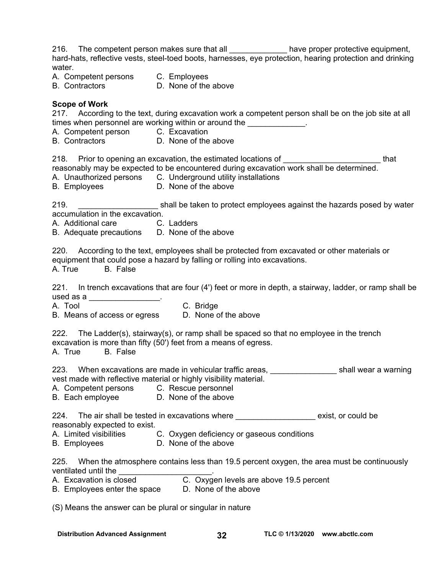216. The competent person makes sure that all \_\_\_\_\_\_\_\_\_\_\_\_\_\_\_ have proper protective equipment, hard-hats, reflective vests, steel-toed boots, harnesses, eye protection, hearing protection and drinking water. A. Competent persons C. Employees B. Contractors D. None of the above **Scope of Work**  217. According to the text, during excavation work a competent person shall be on the job site at all times when personnel are working within or around the  $\sim$ A. Competent person C. Excavation<br>B. Contractors D. None of the D. None of the above 218. Prior to opening an excavation, the estimated locations of **Example 218** Contract that reasonably may be expected to be encountered during excavation work shall be determined. A. Unauthorized persons C. Underground utility installations B. Employees D. None of the above 219. **Example 219.** Example the taken to protect employees against the hazards posed by water accumulation in the excavation. A. Additional care C. Ladders B. Adequate precautions D. None of the above 220. According to the text, employees shall be protected from excavated or other materials or equipment that could pose a hazard by falling or rolling into excavations. A. True B. False 221. In trench excavations that are four (4') feet or more in depth, a stairway, ladder, or ramp shall be used as a  $\frac{1}{2}$ . A. Tool C. Bridge<br>B. Means of access or egress B. None of the above B. Means of access or egress 222. The Ladder(s), stairway(s), or ramp shall be spaced so that no employee in the trench excavation is more than fifty (50') feet from a means of egress. A. True B. False 223. When excavations are made in vehicular traffic areas, <u>entitled and the shall wear a warning</u> vest made with reflective material or highly visibility material. A. Competent persons C. Rescue personnel B. Each employee D. None of the above 224. The air shall be tested in excavations where \_\_\_\_\_\_\_\_\_\_\_\_\_\_\_\_\_\_\_\_\_ exist, or could be reasonably expected to exist. A. Limited visibilities C. Oxygen deficiency or gaseous conditions B. Employees **D. None of the above** 225. When the atmosphere contains less than 19.5 percent oxygen, the area must be continuously ventilated until the \_\_\_\_\_\_\_\_\_\_\_\_\_\_\_\_\_\_\_\_\_. A. Excavation is closed C. Oxygen levels are above 19.5 percent B. Employees enter the space D. None of the above (S) Means the answer can be plural or singular in nature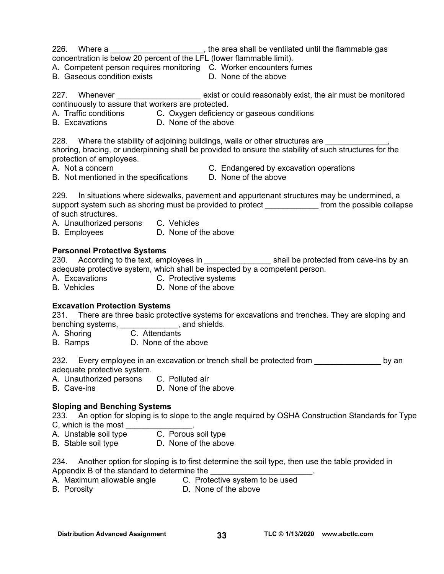226. Where a <u>section and the section of the area</u> shall be ventilated until the flammable gas

- concentration is below 20 percent of the LFL (lower flammable limit).
- A. Competent person requires monitoring C. Worker encounters fumes
- B. Gaseous condition exists **D. None of the above**

227. Whenever \_\_\_\_\_\_\_\_\_\_\_\_\_\_\_\_\_\_\_\_\_\_ exist or could reasonably exist, the air must be monitored continuously to assure that workers are protected.

- A. Traffic conditions C. Oxygen deficiency or gaseous conditions
- B. Excavations D. None of the above

228. Where the stability of adjoining buildings, walls or other structures are shoring, bracing, or underpinning shall be provided to ensure the stability of such structures for the protection of employees.

- 
- B. Not mentioned in the specifications D. None of the above
- A. Not a concern C. Endangered by excavation operations
	-

229. In situations where sidewalks, pavement and appurtenant structures may be undermined, a support system such as shoring must be provided to protect \_\_\_\_\_\_\_\_\_\_\_\_\_\_ from the possible collapse of such structures.

A. Unauthorized persons C. Vehicles

B. Employees D. None of the above

#### **Personnel Protective Systems**

230. According to the text, employees in \_\_\_\_\_\_\_\_\_\_\_\_\_\_\_\_\_\_\_\_\_shall be protected from cave-ins by an adequate protective system, which shall be inspected by a competent person.

- A. Excavations C. Protective systems
- B. Vehicles **D. None of the above**

#### **Excavation Protection Systems**

231. There are three basic protective systems for excavations and trenches. They are sloping and benching systems, \_\_\_\_\_\_\_\_\_\_\_\_\_, and shields.

A. Shoring C. Attendants

B. Ramps D. None of the above

232. Every employee in an excavation or trench shall be protected from exacustory by an adequate protective system.

A. Unauthorized persons C. Polluted air

B. Cave-ins D. None of the above

#### **Sloping and Benching Systems**

233. An option for sloping is to slope to the angle required by OSHA Construction Standards for Type C, which is the most

- A. Unstable soil type C. Porous soil type
- B. Stable soil type **D. None of the above**

234. Another option for sloping is to first determine the soil type, then use the table provided in Appendix B of the standard to determine the

- A. Maximum allowable angle C. Protective system to be used
- 
- B. Porosity **D.** None of the above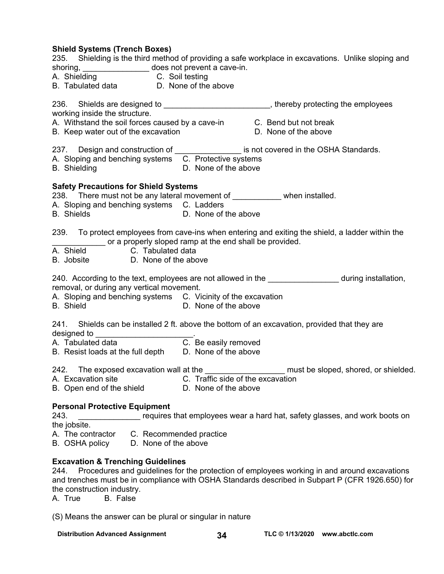#### **Shield Systems (Trench Boxes)**

| shoring, does not prevent a cave-in.<br>A. Shielding C. Soil testing<br>B. Tabulated data D. None of the above                                                                                                                    | 235. Shielding is the third method of providing a safe workplace in excavations. Unlike sloping and                       |  |  |
|-----------------------------------------------------------------------------------------------------------------------------------------------------------------------------------------------------------------------------------|---------------------------------------------------------------------------------------------------------------------------|--|--|
| working inside the structure.<br>A. Withstand the soil forces caused by a cave-in C. Bend but not break<br>B. Keep water out of the excavation                                                                                    | 236. Shields are designed to ___________________________, thereby protecting the employees<br>D. None of the above        |  |  |
| A. Sloping and benching systems C. Protective systems<br><b>B.</b> Shielding                                                                                                                                                      | 237. Design and construction of _________________ is not covered in the OSHA Standards.<br>D. None of the above           |  |  |
| <b>Safety Precautions for Shield Systems</b><br>238. There must not be any lateral movement of ____________ when installed.<br>A. Sloping and benching systems C. Ladders<br><b>B.</b> Shields<br>D. None of the above            |                                                                                                                           |  |  |
| 239. To protect employees from cave-ins when entering and exiting the shield, a ladder within the<br>or a properly sloped ramp at the end shall be provided.<br>C. Tabulated data<br>A. Shield<br>B. Jobsite D. None of the above |                                                                                                                           |  |  |
| removal, or during any vertical movement.<br>A. Sloping and benching systems C. Vicinity of the excavation<br><b>B.</b> Shield                                                                                                    | 240. According to the text, employees are not allowed in the <b>2000</b> during installation,<br>D. None of the above     |  |  |
| Shields can be installed 2 ft. above the bottom of an excavation, provided that they are<br>241.<br>B. Resist loads at the full depth D. None of the above                                                                        |                                                                                                                           |  |  |
| A. Excavation site C. Traffic side of the excavation<br>B. Open end of the shield                                                                                                                                                 | 242. The exposed excavation wall at the ____________________ must be sloped, shored, or shielded.<br>D. None of the above |  |  |
| <b>Personal Protective Equipment</b><br>243.<br>the jobsite.<br>A. The contractor<br>C. Recommended practice<br>B. OSHA policy<br>D. None of the above                                                                            | requires that employees wear a hard hat, safety glasses, and work boots on                                                |  |  |
| <b>Excavation &amp; Trenching Guidelines</b><br>Procedures and guidelines for the protection of employees working in and around excavations<br>244.                                                                               |                                                                                                                           |  |  |

and trenches must be in compliance with OSHA Standards described in Subpart P (CFR 1926.650) for the construction industry.

A. True B. False

(S) Means the answer can be plural or singular in nature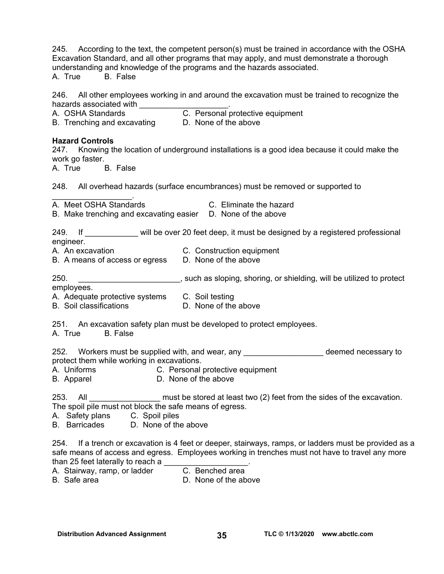245. According to the text, the competent person(s) must be trained in accordance with the OSHA Excavation Standard, and all other programs that may apply, and must demonstrate a thorough understanding and knowledge of the programs and the hazards associated.

A. True B. False

246. All other employees working in and around the excavation must be trained to recognize the hazards associated with \_\_\_\_\_\_\_\_\_\_\_

A. OSHA Standards Will C. Personal protective equipment B. Trenching and excavating D. None of the above

### **Hazard Controls**

247. Knowing the location of underground installations is a good idea because it could make the work go faster.

A. True B. False

248. All overhead hazards (surface encumbrances) must be removed or supported to

 $\mathcal{L}=\mathcal{L}^{\mathcal{L}}$ A. Meet OSHA Standards C. Eliminate the hazard

B. Make trenching and excavating easier D. None of the above

| 249.      | will be over 20 feet deep, it must be designed by a registered professional |
|-----------|-----------------------------------------------------------------------------|
| engineer. |                                                                             |

A. An excavation C. Construction equipment

- B. A means of access or egress D. None of the above
- 250. \_\_\_\_\_\_\_\_\_\_\_\_\_\_\_\_\_\_\_\_\_\_\_, such as sloping, shoring, or shielding, will be utilized to protect

employees.

- A. Adequate protective systems C. Soil testing
- B. Soil classifications **D.** None of the above

251. An excavation safety plan must be developed to protect employees.

A. True B. False

252. Workers must be supplied with, and wear, any the manufacture of the deemed necessary to protect them while working in excavations.

- A. Uniforms C. Personal protective equipment
- B. Apparel **D. None of the above**

253. All **All Excavation** must be stored at least two (2) feet from the sides of the excavation. The spoil pile must not block the safe means of egress.

A. Safety plans C. Spoil piles

B. Barricades D. None of the above

254. If a trench or excavation is 4 feet or deeper, stairways, ramps, or ladders must be provided as a safe means of access and egress. Employees working in trenches must not have to travel any more than 25 feet laterally to reach a

- A. Stairway, ramp, or ladder C. Benched area
- B. Safe area **D.** None of the above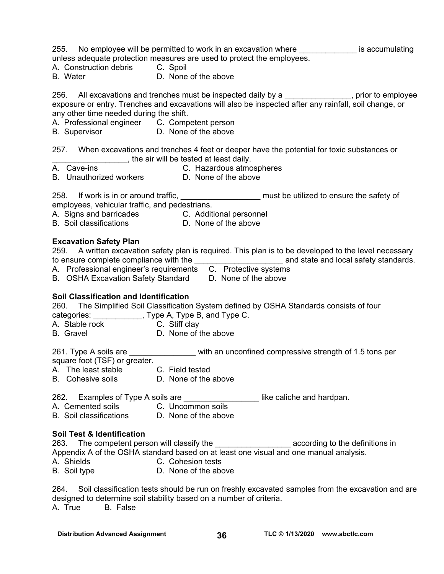| 255. No employee will be permitted to work in an excavation where ______________ is accumulating<br>unless adequate protection measures are used to protect the employees.<br>A. Construction debris C. Spoil<br>D. None of the above<br>B. Water                                                                                                 |  |  |  |
|---------------------------------------------------------------------------------------------------------------------------------------------------------------------------------------------------------------------------------------------------------------------------------------------------------------------------------------------------|--|--|--|
| 256. All excavations and trenches must be inspected daily by a _____________, prior to employee<br>exposure or entry. Trenches and excavations will also be inspected after any rainfall, soil change, or<br>any other time needed during the shift.<br>A. Professional engineer C. Competent person<br>B. Supervisor <b>D. None of the above</b> |  |  |  |
| 257. When excavations and trenches 4 feet or deeper have the potential for toxic substances or<br>The air will be tested at least daily.<br>A. Cave-ins<br>C. Hazardous atmospheres<br>B. Unauthorized workers D. None of the above                                                                                                               |  |  |  |
| 258. If work is in or around traffic, ______________________ must be utilized to ensure the safety of<br>employees, vehicular traffic, and pedestrians.<br>A. Signs and barricades C. Additional personnel<br>B. Soil classifications <b>D. None of the above</b>                                                                                 |  |  |  |
| <b>Excavation Safety Plan</b><br>259. A written excavation safety plan is required. This plan is to be developed to the level necessary<br>A. Professional engineer's requirements  C. Protective systems<br><b>B.</b> OSHA Excavation Safety Standard<br>D. None of the above                                                                    |  |  |  |
| Soil Classification and Identification<br>260. The Simplified Soil Classification System defined by OSHA Standards consists of four<br>categories: ____________, Type A, Type B, and Type C.<br>C. Stiff clay<br>A. Stable rock<br>B. Gravel<br>D. None of the above                                                                              |  |  |  |
| 261. Type A soils are ___________________ with an unconfined compressive strength of 1.5 tons per<br>square foot (TSF) or greater.<br>A. The least stable<br>C. Field tested<br>B. Cohesive soils<br>D. None of the above                                                                                                                         |  |  |  |
| Examples of Type A soils are<br>like caliche and hardpan.<br>262.<br>A. Cemented soils<br>C. Uncommon soils<br>B. Soil classifications<br>D. None of the above                                                                                                                                                                                    |  |  |  |
| <b>Soil Test &amp; Identification</b><br>263. The competent person will classify the ________________________ according to the definitions in<br>Appendix A of the OSHA standard based on at least one visual and one manual analysis.<br>A. Shields<br>C. Cohesion tests<br>D. None of the above<br>B. Soil type                                 |  |  |  |

264. Soil classification tests should be run on freshly excavated samples from the excavation and are designed to determine soil stability based on a number of criteria. A. True B. False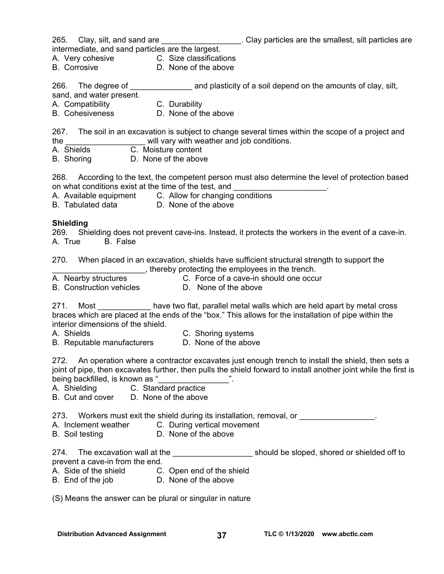265. Clay, silt, and sand are \_\_\_\_\_\_\_\_\_\_\_\_\_\_\_\_\_\_\_. Clay particles are the smallest, silt particles are intermediate, and sand particles are the largest.

A. Very cohesive C. Size classifications

- 
- B. Corrosive **D.** None of the above

266. The degree of \_\_\_\_\_\_\_\_\_\_\_\_\_\_\_\_\_\_\_\_ and plasticity of a soil depend on the amounts of clay, silt,

sand, and water present.

A. Compatibility C. Durability

B. Cohesiveness D. None of the above

267. The soil in an excavation is subject to change several times within the scope of a project and the \_\_\_\_\_\_\_\_\_\_\_\_\_\_\_\_\_\_ will vary with weather and job conditions.

- $\overline{C}$ . Moisture content
- B. Shoring D. None of the above

268. According to the text, the competent person must also determine the level of protection based on what conditions exist at the time of the test, and

- A. Available equipment C. Allow for changing conditions
- B. Tabulated data D. None of the above

#### **Shielding**

269. Shielding does not prevent cave-ins. Instead, it protects the workers in the event of a cave-in. A. True B. False

270. When placed in an excavation, shields have sufficient structural strength to support the **with the realist controlled team** in the trench.

- A. Nearby structures C. Force of a cave-in should one occur
- B. Construction vehicles **D. None of the above** 
	-

271. Most \_\_\_\_\_\_\_\_\_\_\_\_\_\_ have two flat, parallel metal walls which are held apart by metal cross braces which are placed at the ends of the "box." This allows for the installation of pipe within the interior dimensions of the shield.

- 
- A. Shields C. Shoring systems

B. Reputable manufacturers D. None of the above

272. An operation where a contractor excavates just enough trench to install the shield, then sets a joint of pipe, then excavates further, then pulls the shield forward to install another joint while the first is being backfilled, is known as "

- A. Shielding C. Standard practice
- B. Cut and cover D. None of the above

273. Workers must exit the shield during its installation, removal, or \_\_\_\_\_\_\_\_\_\_\_\_\_\_\_\_

- A. Inclement weather C. During vertical movement
- B. Soil testing D. None of the above

274. The excavation wall at the \_\_\_\_\_\_\_\_\_\_\_\_\_\_\_\_\_\_\_\_\_\_\_\_ should be sloped, shored or shielded off to prevent a cave-in from the end.

- A. Side of the shield C. Open end of the shield
- B. End of the job D. None of the above

(S) Means the answer can be plural or singular in nature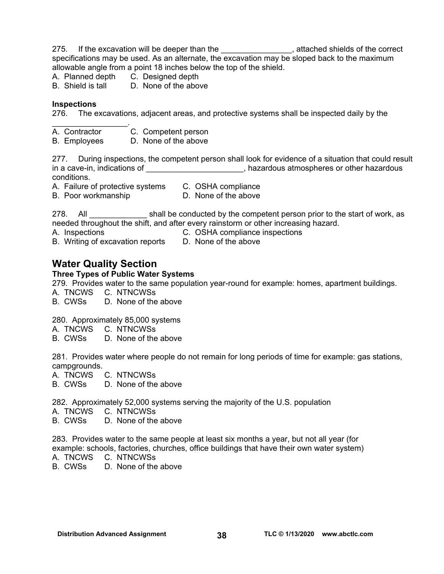- 275. If the excavation will be deeper than the <u>example and contract and attached</u> shields of the correct specifications may be used. As an alternate, the excavation may be sloped back to the maximum allowable angle from a point 18 inches below the top of the shield.
- A. Planned depth C. Designed depth
- B. Shield is tall D. None of the above

#### **Inspections**

 $\mathcal{L}_\text{max}$  , we have the set of the set of the set of the set of the set of the set of the set of the set of the set of the set of the set of the set of the set of the set of the set of the set of the set of the set of

276. The excavations, adjacent areas, and protective systems shall be inspected daily by the

- A. Contractor C. Competent person
- B. Employees D. None of the above

277. During inspections, the competent person shall look for evidence of a situation that could result in a cave-in, indications of \_\_\_\_\_\_\_\_\_\_\_\_\_\_\_\_\_\_\_\_\_\_\_, hazardous atmospheres or other hazardous conditions.

|  | A. Failure of protective systems |  | C. OSHA compliance |
|--|----------------------------------|--|--------------------|
|  |                                  |  |                    |

B. Poor workmanship D. None of the above

278. All shall be conducted by the competent person prior to the start of work, as needed throughout the shift, and after every rainstorm or other increasing hazard.

- 
- A. Inspections C. OSHA compliance inspections

B. Writing of excavation reports D. None of the above

### **Water Quality Section**

#### **Three Types of Public Water Systems**

279.Provides water to the same population year-round for example: homes, apartment buildings.

- A. TNCWS C. NTNCWSs
- B. CWSs D. None of the above

280. Approximately 85,000 systems

- A. TNCWS C. NTNCWSs
- B. CWSs D. None of the above

281. Provides water where people do not remain for long periods of time for example: gas stations, campgrounds.

- A. TNCWS C. NTNCWSs
- B. CWSs D. None of the above

282. Approximately 52,000 systems serving the majority of the U.S. population

A. TNCWS C. NTNCWSs

B. CWSs D. None of the above

283.Provides water to the same people at least six months a year, but not all year (for example: schools, factories, churches, office buildings that have their own water system)

- A. TNCWS C. NTNCWSs
- B. CWSs D. None of the above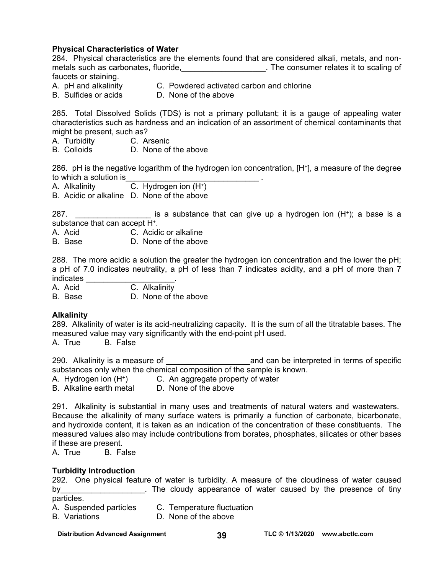#### **Physical Characteristics of Water**

284. Physical characteristics are the elements found that are considered alkali, metals, and nonmetals such as carbonates, fluoride, the consumer relates it to scaling of faucets or staining.

A. pH and alkalinity C. Powdered activated carbon and chlorine

B. Sulfides or acids D. None of the above

285. Total Dissolved Solids (TDS) is not a primary pollutant; it is a gauge of appealing water characteristics such as hardness and an indication of an assortment of chemical contaminants that might be present, such as?<br>A. Turbidity C. Ar

- A. Turbidity C. Arsenic
- B. Colloids D. None of the above

286. pH is the negative logarithm of the hydrogen ion concentration, [H+], a measure of the degree to which a solution is

A. Alkalinity C. Hydrogen ion (H+)

B. Acidic or alkaline D. None of the above

287.  $\frac{1}{287}$  is a substance that can give up a hydrogen ion  $(H^+)$ ; a base is a substance that can accept H<sup>+</sup>.

A. Acid C. Acidic or alkaline

B. Base D. None of the above

288. The more acidic a solution the greater the hydrogen ion concentration and the lower the pH; a pH of 7.0 indicates neutrality, a pH of less than 7 indicates acidity, and a pH of more than 7 indicates **and the set of the set of the set of the set of the set of the set of the set of the set of the set o** 

A. Acid C. Alkalinity

B. Base D. None of the above

#### **Alkalinity**

289. Alkalinity of water is its acid-neutralizing capacity. It is the sum of all the titratable bases. The measured value may vary significantly with the end-point pH used.

A. True B. False

290. Alkalinity is a measure of \_\_\_\_\_\_\_\_\_\_\_\_\_\_\_\_\_\_\_and can be interpreted in terms of specific substances only when the chemical composition of the sample is known.

A. Hydrogen ion (H+) C. An aggregate property of water

B. Alkaline earth metal D. None of the above

291. Alkalinity is substantial in many uses and treatments of natural waters and wastewaters. Because the alkalinity of many surface waters is primarily a function of carbonate, bicarbonate, and hydroxide content, it is taken as an indication of the concentration of these constituents. The measured values also may include contributions from borates, phosphates, silicates or other bases if these are present.

A. True B. False

#### **Turbidity Introduction**

292. One physical feature of water is turbidity. A measure of the cloudiness of water caused by\_\_\_\_\_\_\_\_\_\_\_\_\_\_\_\_\_\_\_\_\_. The cloudy appearance of water caused by the presence of tiny particles.

A. Suspended particles C. Temperature fluctuation

B. Variations D. None of the above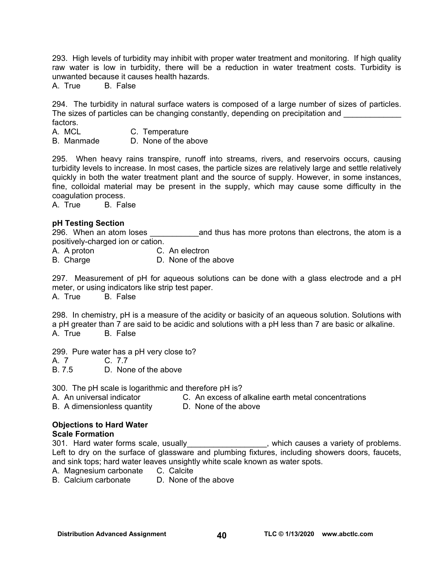293. High levels of turbidity may inhibit with proper water treatment and monitoring. If high quality raw water is low in turbidity, there will be a reduction in water treatment costs. Turbidity is unwanted because it causes health hazards.

A. True B. False

294. The turbidity in natural surface waters is composed of a large number of sizes of particles. The sizes of particles can be changing constantly, depending on precipitation and

- factors.<br>A. MCL C. Temperature
- B. Manmade D. None of the above

295. When heavy rains transpire, runoff into streams, rivers, and reservoirs occurs, causing turbidity levels to increase. In most cases, the particle sizes are relatively large and settle relatively quickly in both the water treatment plant and the source of supply. However, in some instances, fine, colloidal material may be present in the supply, which may cause some difficulty in the coagulation process.

A. True B. False

#### **pH Testing Section**

296. When an atom loses \_\_\_\_\_\_\_\_\_\_\_\_\_\_\_ and thus has more protons than electrons, the atom is a positively-charged ion or cation.

A. A proton C. An electron

B. Charge D. None of the above

297. Measurement of pH for aqueous solutions can be done with a glass electrode and a pH meter, or using indicators like strip test paper.

A. True B. False

298. In chemistry, pH is a measure of the acidity or basicity of an aqueous solution. Solutions with a pH greater than 7 are said to be acidic and solutions with a pH less than 7 are basic or alkaline. A. True B. False

299. Pure water has a pH very close to?

A. 7 C. 7.7

B. 7.5 D. None of the above

300. The pH scale is logarithmic and therefore pH is?

A. An universal indicator C. An excess of alkaline earth metal concentrations

B. A dimensionless quantityD. None of the above

### **Objections to Hard Water**

#### **Scale Formation**

301. Hard water forms scale, usually example and more causes a variety of problems. Left to dry on the surface of glassware and plumbing fixtures, including showers doors, faucets, and sink tops; hard water leaves unsightly white scale known as water spots.

A. Magnesium carbonate C. Calcite

B. Calcium carbonate D. None of the above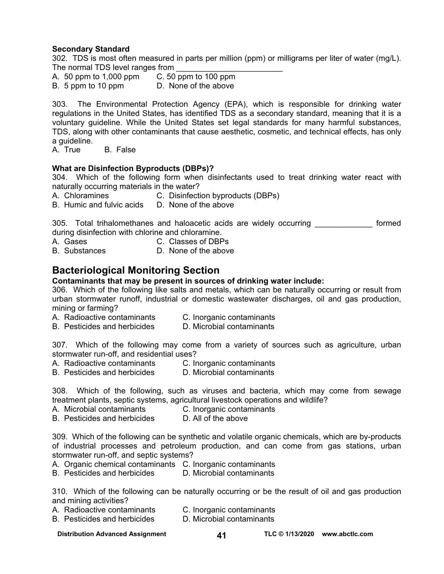#### **Secondary Standard**

302. TDS is most often measured in parts per million (ppm) or milligrams per liter of water (mg/L). The normal TDS level ranges from <br>A. 50 ppm to 1,000 ppm C. 50 ppm to 100 ppm

A.  $50$  ppm to 1,000 ppm

B. 5 ppm to 10 ppm D. None of the above

303. The Environmental Protection Agency (EPA), which is responsible for drinking water regulations in the United States, has identified TDS as a secondary standard, meaning that it is a voluntary guideline. While the United States set legal standards for many harmful substances, TDS, along with other contaminants that cause aesthetic, cosmetic, and technical effects, has only a quideline.

A. True B. False

#### **What are Disinfection Byproducts (DBPs)?**

304. Which of the following form when disinfectants used to treat drinking water react with naturally occurring materials in the water?

- A. Chloramines C. Disinfection byproducts (DBPs)
- B. Humic and fulvic acids D. None of the above

305. Total trihalomethanes and haloacetic acids are widely occurring **cometally** formed during disinfection with chlorine and chloramine.

- A. Gases C. Classes of DBPs
- B. Substances D. None of the above

### **Bacteriological Monitoring Section**

#### **Contaminants that may be present in sources of drinking water include:**

306. Which of the following like salts and metals, which can be naturally occurring or result from urban stormwater runoff, industrial or domestic wastewater discharges, oil and gas production, mining or farming?

- A. Radioactive contaminants C. Inorganic contaminants
	-
- B. Pesticides and herbicides D. Microbial contaminants

307. Which of the following may come from a variety of sources such as agriculture, urban stormwater run-off, and residential uses?

- A. Radioactive contaminants C. Inorganic contaminants
	-
- B. Pesticides and herbicides D. Microbial contaminants

308. Which of the following, such as viruses and bacteria, which may come from sewage treatment plants, septic systems, agricultural livestock operations and wildlife?

- A. Microbial contaminants C. Inorganic contaminants
- B. Pesticides and herbicides D. All of the above

309. Which of the following can be synthetic and volatile organic chemicals, which are by-products of industrial processes and petroleum production, and can come from gas stations, urban stormwater run-off, and septic systems?

- A. Organic chemical contaminants C. Inorganic contaminants
- B. Pesticides and herbicides D. Microbial contaminants

310. Which of the following can be naturally occurring or be the result of oil and gas production and mining activities?

- A. Radioactive contaminants C. Inorganic contaminants
- B. Pesticides and herbicides D. Microbial contaminants

Distribution Advanced Assignment **41** TLC © 1/13/2020 www.abctlc.com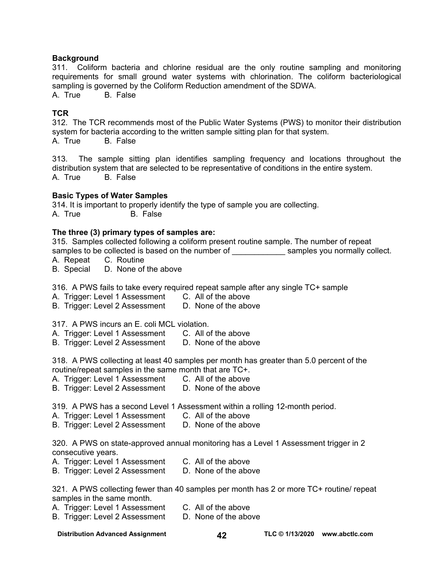#### **Background**

311. Coliform bacteria and chlorine residual are the only routine sampling and monitoring requirements for small ground water systems with chlorination. The coliform bacteriological sampling is governed by the Coliform Reduction amendment of the SDWA.

A. True B. False

#### **TCR**

312. The TCR recommends most of the Public Water Systems (PWS) to monitor their distribution system for bacteria according to the written sample sitting plan for that system. A. True B. False

313. The sample sitting plan identifies sampling frequency and locations throughout the distribution system that are selected to be representative of conditions in the entire system. A. True B. False

#### **Basic Types of Water Samples**

314. It is important to properly identify the type of sample you are collecting. A. True B. False

#### **The three (3) primary types of samples are:**

315. Samples collected following a coliform present routine sample. The number of repeat samples to be collected is based on the number of election of the samples you normally collect.

- A. Repeat C. Routine
- B. Special D. None of the above

316. A PWS fails to take every required repeat sample after any single TC+ sample

- A. Trigger: Level 1 Assessment C. All of the above
- B. Trigger: Level 2 Assessment D. None of the above

317. A PWS incurs an E. coli MCL violation.

- A. Trigger: Level 1 Assessment C. All of the above
- B. Trigger: Level 2 Assessment D. None of the above

318. A PWS collecting at least 40 samples per month has greater than 5.0 percent of the routine/repeat samples in the same month that are TC+.

- A. Trigger: Level 1 Assessment C. All of the above
- B. Trigger: Level 2 Assessment D. None of the above

319. A PWS has a second Level 1 Assessment within a rolling 12-month period.

- A. Trigger: Level 1 Assessment C. All of the above
- B. Trigger: Level 2 Assessment D. None of the above

320. A PWS on state-approved annual monitoring has a Level 1 Assessment trigger in 2 consecutive years.

A. Trigger: Level 1 Assessment C. All of the above

B. Trigger: Level 2 Assessment D. None of the above

321. A PWS collecting fewer than 40 samples per month has 2 or more TC+ routine/ repeat samples in the same month.

- A. Trigger: Level 1 Assessment C. All of the above
- B. Trigger: Level 2 Assessment D. None of the above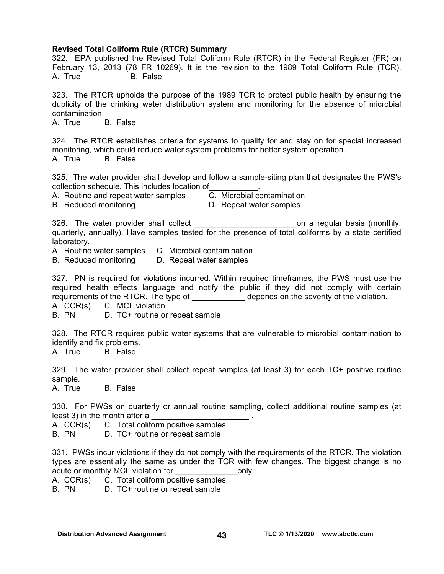#### **Revised Total Coliform Rule (RTCR) Summary**

322. EPA published the Revised Total Coliform Rule (RTCR) in the Federal Register (FR) on February 13, 2013 (78 FR 10269). It is the revision to the 1989 Total Coliform Rule (TCR). A. True B. False 323. The RTCR upholds the purpose of the 1989 TCR to protect public health by ensuring the duplicity of the drinking water distribution system and monitoring for the absence of microbial contamination. A. True B. False 324. The RTCR establishes criteria for systems to qualify for and stay on for special increased monitoring, which could reduce water system problems for better system operation. A. True B. False 325. The water provider shall develop and follow a sample-siting plan that designates the PWS's collection schedule. This includes location of  $\overline{C}$ . Microbial contamination A. Routine and repeat water samples  $\overline{C}$ . Microbial contamination A. Routine and repeat water samples B. Reduced monitoring D. Repeat water samples 326. The water provider shall collect **the set of the collect** on a regular basis (monthly, quarterly, annually). Have samples tested for the presence of total coliforms by a state certified laboratory. A. Routine water samples C. Microbial contamination B. Reduced monitoring D. Repeat water samples 327. PN is required for violations incurred. Within required timeframes, the PWS must use the required health effects language and notify the public if they did not comply with certain requirements of the RTCR. The type of \_\_\_\_\_\_\_\_\_\_\_\_\_\_\_ depends on the severity of the violation. A. CCR(s) C. MCL violation B. PN D. TC+ routine or repeat sample 328. The RTCR requires public water systems that are vulnerable to microbial contamination to identify and fix problems. A. True B. False 329. The water provider shall collect repeat samples (at least 3) for each TC+ positive routine sample. A. True B. False

330. For PWSs on quarterly or annual routine sampling, collect additional routine samples (at least 3) in the month after a

A. CCR(s) C. Total coliform positive samples

B. PN D. TC+ routine or repeat sample

331. PWSs incur violations if they do not comply with the requirements of the RTCR. The violation types are essentially the same as under the TCR with few changes. The biggest change is no acute or monthly MCL violation for example only.

A. CCR(s) C. Total coliform positive samples<br>B. PN D. TC+ routine or repeat sample

D. TC+ routine or repeat sample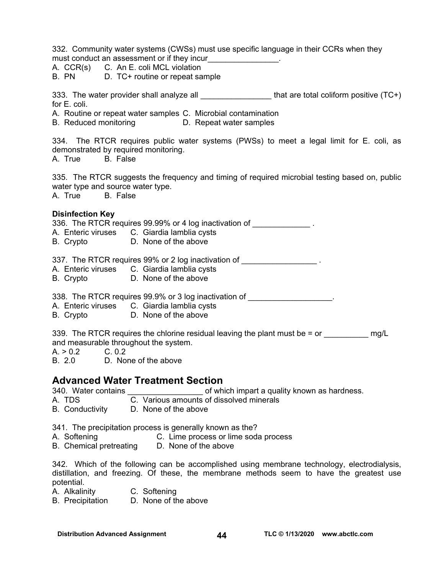332. Community water systems (CWSs) must use specific language in their CCRs when they must conduct an assessment or if they incur A. CCR(s) C. An E. coli MCL violation B. PN D. TC+ routine or repeat sample 333. The water provider shall analyze all **the set of the set of the set of the vert** of the value (TC+) for E. coli. A. Routine or repeat water samples C. Microbial contamination B. Reduced monitoring D. Repeat water samples 334. The RTCR requires public water systems (PWSs) to meet a legal limit for E. coli, as demonstrated by required monitoring. A. True B. False 335. The RTCR suggests the frequency and timing of required microbial testing based on, public water type and source water type. A. True B. False **Disinfection Key**  336. The RTCR requires 99.99% or 4 log inactivation of  $\blacksquare$ A. Enteric viruses C. Giardia lamblia cysts B. Crypto D. None of the above 337. The RTCR requires 99% or 2 log inactivation of A. Enteric viruses C. Giardia lamblia cysts B. Crypto D. None of the above 338. The RTCR requires 99.9% or 3 log inactivation of \_\_\_\_\_\_\_\_\_\_\_\_\_\_\_\_\_\_\_. A. Enteric viruses C. Giardia lamblia cysts B. Crypto D. None of the above 339. The RTCR requires the chlorine residual leaving the plant must be  $=$  or  $\qquad \qquad$  mg/L and measurable throughout the system.  $A. > 0.2$  C. 0.2 B. 2.0 D. None of the above **Advanced Water Treatment Section**  340. Water contains \_\_\_\_\_\_\_\_\_\_\_\_\_\_\_\_\_ of which impart a quality known as hardness. C. Various amounts of dissolved minerals B. Conductivity D. None of the above 341. The precipitation process is generally known as the? A. Softening C. Lime process or lime soda process B. Chemical pretreating D. None of the above

342. Which of the following can be accomplished using membrane technology, electrodialysis, distillation, and freezing. Of these, the membrane methods seem to have the greatest use potential.

- A. Alkalinity C. Softening
- B. Precipitation D. None of the above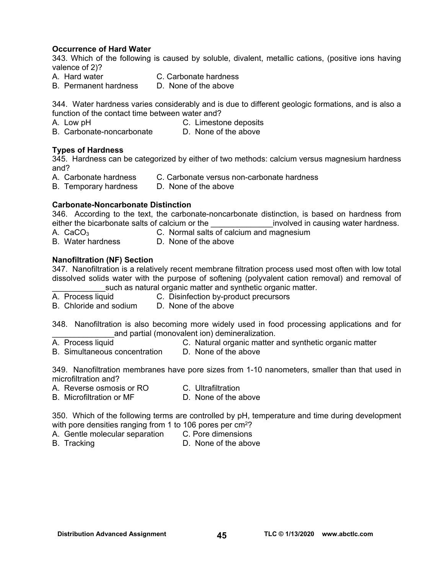#### **Occurrence of Hard Water**

343. Which of the following is caused by soluble, divalent, metallic cations, (positive ions having valence of 2)?

- A. Hard water C. Carbonate hardness
- B. Permanent hardness D. None of the above

344. Water hardness varies considerably and is due to different geologic formations, and is also a function of the contact time between water and?

- 
- A. Low pH<br>B. Carbonate-noncarbonate B. Carbonate-noncarbonate D. None of the above B. Carbonate-noncarbonate

#### **Types of Hardness**

345. Hardness can be categorized by either of two methods: calcium versus magnesium hardness and?

- A. Carbonate hardness C. Carbonate versus non-carbonate hardness
- B. Temporary hardness D. None of the above

#### **Carbonate-Noncarbonate Distinction**

346. According to the text, the carbonate-noncarbonate distinction, is based on hardness from either the bicarbonate salts of calcium or the example involved in causing water hardness.

- 
- A.  $CaCO<sub>3</sub>$  C. Normal salts of calcium and magnesium
- B. Water hardness D. None of the above

#### **Nanofiltration (NF) Section**

347. Nanofiltration is a relatively recent membrane filtration process used most often with low total dissolved solids water with the purpose of softening (polyvalent cation removal) and removal of such as natural organic matter and synthetic organic matter.

- A. Process liquid **C.** Disinfection by-product precursors
- B. Chloride and sodium D. None of the above

348. Nanofiltration is also becoming more widely used in food processing applications and for and partial (monovalent ion) demineralization.

- A. Process liquid C. Natural organic matter and synthetic organic matter
- B. Simultaneous concentration D. None of the above

349. Nanofiltration membranes have pore sizes from 1-10 nanometers, smaller than that used in microfiltration and?

A. Reverse osmosis or RO C. Ultrafiltration

B. Microfiltration or MF D. None of the above

350. Which of the following terms are controlled by pH, temperature and time during development with pore densities ranging from 1 to 106 pores per  $cm<sup>2</sup>$ ?

- A. Gentle molecular separation C. Pore dimensions
- B. Tracking **B.** D. None of the above
	-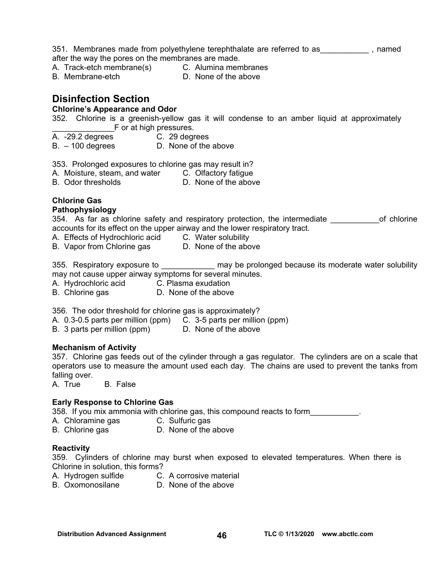351. Membranes made from polyethylene terephthalate are referred to as \_\_\_\_\_\_\_\_\_\_\_\_\_, named after the way the pores on the membranes are made.

A. Track-etch membrane(s) C. Alumina membranes

B. Membrane-etch D. None of the above

### **Disinfection Section**

#### **Chlorine's Appearance and Odor**

352. Chlorine is a greenish-yellow gas it will condense to an amber liquid at approximately F or at high pressures.

- A. -29.2 degrees C. 29 degrees
- B. 100 degrees D. None of the above

353. Prolonged exposures to chlorine gas may result in?

A. Moisture, steam, and water C. Olfactory fatigue

B. Odor thresholds **D.** None of the above

## **Chlorine Gas**

#### **Pathophysiology**

354. As far as chlorine safety and respiratory protection, the intermediate on the of chlorine accounts for its effect on the upper airway and the lower respiratory tract.

A. Effects of Hydrochloric acid C. Water solubility

B. Vapor from Chlorine gas D. None of the above

355. Respiratory exposure to **the interest of the may be prolonged because its moderate water solubility** may not cause upper airway symptoms for several minutes.

A. Hydrochloric acid C. Plasma exudation

B. Chlorine gas **D.** None of the above

356. The odor threshold for chlorine gas is approximately?

A. 0.3-0.5 parts per million (ppm) C. 3-5 parts per million (ppm)

B. 3 parts per million (ppm) D. None of the above

#### **Mechanism of Activity**

357. Chlorine gas feeds out of the cylinder through a gas regulator. The cylinders are on a scale that operators use to measure the amount used each day. The chains are used to prevent the tanks from falling over.

A. True B. False

#### **Early Response to Chlorine Gas**

358. If you mix ammonia with chlorine gas, this compound reacts to form\_\_\_\_\_\_\_\_\_\_\_.

- A. Chloramine gas **C. Sulfuric gas**
- B. Chlorine gas **D.** None of the above

#### **Reactivity**

359. Cylinders of chlorine may burst when exposed to elevated temperatures. When there is Chlorine in solution, this forms?

- A. Hydrogen sulfide C. A corrosive material
- B. Oxomonosilane D. None of the above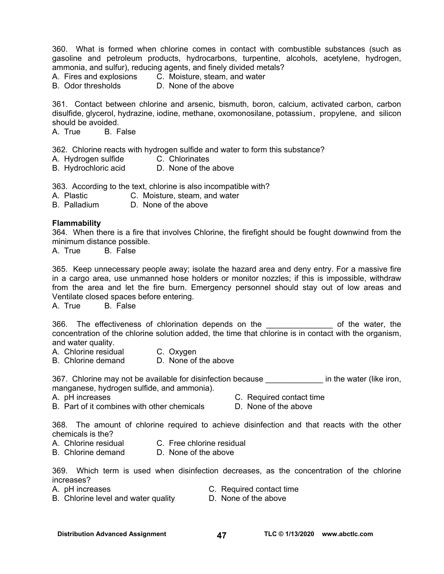360. What is formed when chlorine comes in contact with combustible substances (such as gasoline and petroleum products, hydrocarbons, turpentine, alcohols, acetylene, hydrogen, ammonia, and sulfur), reducing agents, and finely divided metals?

A. Fires and explosions C. Moisture, steam, and water

B. Odor thresholds D. None of the above

361. Contact between chlorine and arsenic, bismuth, boron, calcium, activated carbon, carbon disulfide, glycerol, hydrazine, iodine, methane, oxomonosilane, potassium , propylene, and silicon should be avoided.<br>A. True B. False

A. True

362. Chlorine reacts with hydrogen sulfide and water to form this substance?

- A. Hydrogen sulfide C. Chlorinates
- B. Hydrochloric acid D. None of the above

363. According to the text, chlorine is also incompatible with?

A. Plastic C. Moisture, steam, and water

B. Palladium D. None of the above

#### **Flammability**

364. When there is a fire that involves Chlorine, the firefight should be fought downwind from the minimum distance possible.

A. True B. False

365. Keep unnecessary people away; isolate the hazard area and deny entry. For a massive fire in a cargo area, use unmanned hose holders or monitor nozzles; if this is impossible, withdraw from the area and let the fire burn. Emergency personnel should stay out of low areas and Ventilate closed spaces before entering.

A. True B. False

366. The effectiveness of chlorination depends on the the the water, the vater, the concentration of the chlorine solution added, the time that chlorine is in contact with the organism, and water quality.

- A. Chlorine residual C. Oxygen
- B. Chlorine demand D. None of the above

367. Chlorine may not be available for disinfection because **the in the water (like iron,** manganese, hydrogen sulfide, and ammonia).

- A. pH increases C. Required contact time<br>B. Part of it combines with other chemicals C. None of the above
- B. Part of it combines with other chemicals

368. The amount of chlorine required to achieve disinfection and that reacts with the other chemicals is the?

- A. Chlorine residual C. Free chlorine residual
- B. Chlorine demand D. None of the above

369. Which term is used when disinfection decreases, as the concentration of the chlorine increases?

- 
- A. pH increases C. Required contact time
- B. Chlorine level and water quality **D. None of the above**
-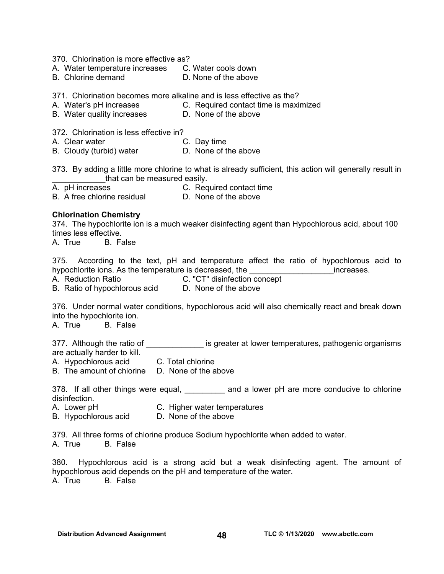370. Chlorination is more effective as?

A. Water temperature increases C. Water cools down

B. Chlorine demand D. None of the above

371. Chlorination becomes more alkaline and is less effective as the?

- A. Water's pH increases C. Required contact time is maximized
- B. Water quality increases **D. None of the above**

372. Chlorination is less effective in?

- A. Clear water **C. Day time** 
	-

B. Cloudy (turbid) water **D. None of the above** 

373. By adding a little more chlorine to what is already sufficient, this action will generally result in that can be measured easily.

A. pH increases C. Required contact time

B. A free chlorine residual D. None of the above

#### **Chlorination Chemistry**

374. The hypochlorite ion is a much weaker disinfecting agent than Hypochlorous acid, about 100 times less effective.

A. True B. False

375. According to the text, pH and temperature affect the ratio of hypochlorous acid to hypochlorite ions. As the temperature is decreased, the **we construe that the late of the set of the set of the** 

A. Reduction Ratio C. "CT" disinfection concept B. Ratio of hypochlorous acid D. None of the above

376. Under normal water conditions, hypochlorous acid will also chemically react and break down into the hypochlorite ion.

A. True B. False

377. Although the ratio of \_\_\_\_\_\_\_\_\_\_\_\_\_\_\_ is greater at lower temperatures, pathogenic organisms are actually harder to kill.

A. Hypochlorous acid C. Total chlorine

B. The amount of chlorine D. None of the above

378. If all other things were equal, and a lower pH are more conducive to chlorine disinfection.

- A. Lower pH C. Higher water temperatures
- B. Hypochlorous acid D. None of the above

379. All three forms of chlorine produce Sodium hypochlorite when added to water. A. True B. False

380. Hypochlorous acid is a strong acid but a weak disinfecting agent. The amount of hypochlorous acid depends on the pH and temperature of the water. A. True B. False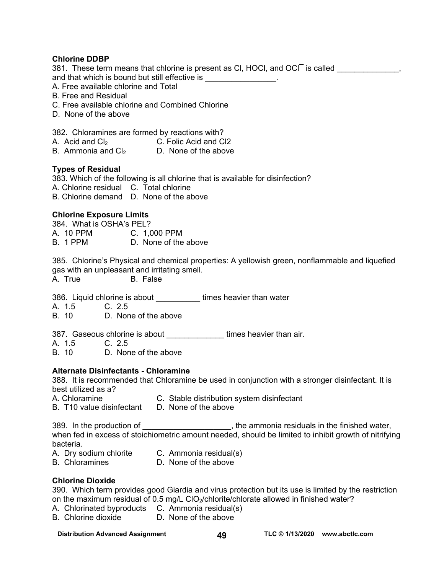#### **Chlorine DDBP**

381. These term means that chlorine is present as CI, HOCI, and OCI<sup> $\overline{\phantom{a}}$ </sup> is called  $\overline{\phantom{a}}$ , and that which is bound but still effective is \_\_\_\_\_\_\_\_\_\_\_\_\_\_\_\_.

- A. Free available chlorine and Total
- B. Free and Residual
- C. Free available chlorine and Combined Chlorine
- D. None of the above

382. Chloramines are formed by reactions with?

| A. Acid and $Cl2$    | C. Folic Acid and CI2 |
|----------------------|-----------------------|
| B. Ammonia and $Cl2$ | D. None of the above  |

#### **Types of Residual**

383. Which of the following is all chlorine that is available for disinfection? A. Chlorine residual C. Total chlorine B. Chlorine demand D. None of the above

#### **Chlorine Exposure Limits**

384. What is OSHA's PEL? A. 10 PPM C. 1,000 PPM B. 1 PPM D. None of the above

385. Chlorine's Physical and chemical properties: A yellowish green, nonflammable and liquefied gas with an unpleasant and irritating smell.

A. True B. False

386. Liquid chlorine is about **times heavier than water** 

A. 1.5 C. 2.5

B. 10 D. None of the above

387. Gaseous chlorine is about **times heavier than air.** 

A. 1.5 C. 2.5

B. 10 D. None of the above

#### **Alternate Disinfectants - Chloramine**

388. It is recommended that Chloramine be used in conjunction with a stronger disinfectant. It is best utilized as a?

- A. Chloramine C. Stable distribution system disinfectant
- B. T10 value disinfectant D. None of the above

389. In the production of  $\blacksquare$  the ammonia residuals in the finished water, when fed in excess of stoichiometric amount needed, should be limited to inhibit growth of nitrifying bacteria.

- A. Dry sodium chlorite C. Ammonia residual(s)
- B. Chloramines D. None of the above

#### **Chlorine Dioxide**

390. Which term provides good Giardia and virus protection but its use is limited by the restriction on the maximum residual of 0.5 mg/L ClO<sub>2</sub>/chlorite/chlorate allowed in finished water?

- A. Chlorinated byproducts C. Ammonia residual(s)
- B. Chlorine dioxide D. None of the above

#### Distribution Advanced Assignment **49** TLC © 1/13/2020 www.abctlc.com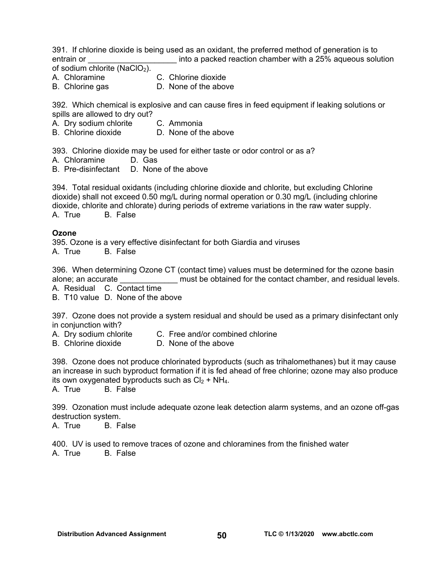391. If chlorine dioxide is being used as an oxidant, the preferred method of generation is to entrain or **Exercice 20** into a packed reaction chamber with a 25% aqueous solution of sodium chlorite (NaClO<sub>2</sub>).

A. Chloramine C. Chlorine dioxide

B. Chlorine gas **D.** None of the above

392. Which chemical is explosive and can cause fires in feed equipment if leaking solutions or spills are allowed to dry out?

- A. Dry sodium chlorite C. Ammonia<br>B. Chlorine dioxide C. None of the
- D. None of the above

393. Chlorine dioxide may be used for either taste or odor control or as a?

- A. Chloramine D. Gas
- B. Pre-disinfectant D. None of the above

394. Total residual oxidants (including chlorine dioxide and chlorite, but excluding Chlorine dioxide) shall not exceed 0.50 mg/L during normal operation or 0.30 mg/L (including chlorine dioxide, chlorite and chlorate) during periods of extreme variations in the raw water supply. A. True B. False

#### **Ozone**

395. Ozone is a very effective disinfectant for both Giardia and viruses

A. True B. False

396. When determining Ozone CT (contact time) values must be determined for the ozone basin alone; an accurate \_\_\_\_\_\_\_\_\_\_\_\_\_\_\_\_ must be obtained for the contact chamber, and residual levels. A. Residual C. Contact time

B. T10 value D. None of the above

397. Ozone does not provide a system residual and should be used as a primary disinfectant only in conjunction with?

- A. Drv sodium chlorite C. Free and/or combined chlorine
- B. Chlorine dioxide D. None of the above

398. Ozone does not produce chlorinated byproducts (such as trihalomethanes) but it may cause an increase in such byproduct formation if it is fed ahead of free chlorine; ozone may also produce its own oxygenated byproducts such as  $Cl<sub>2</sub> + NH<sub>4</sub>$ .

A. True B. False

399. Ozonation must include adequate ozone leak detection alarm systems, and an ozone off-gas destruction system.

A. True B. False

400. UV is used to remove traces of ozone and chloramines from the finished water A. True B. False